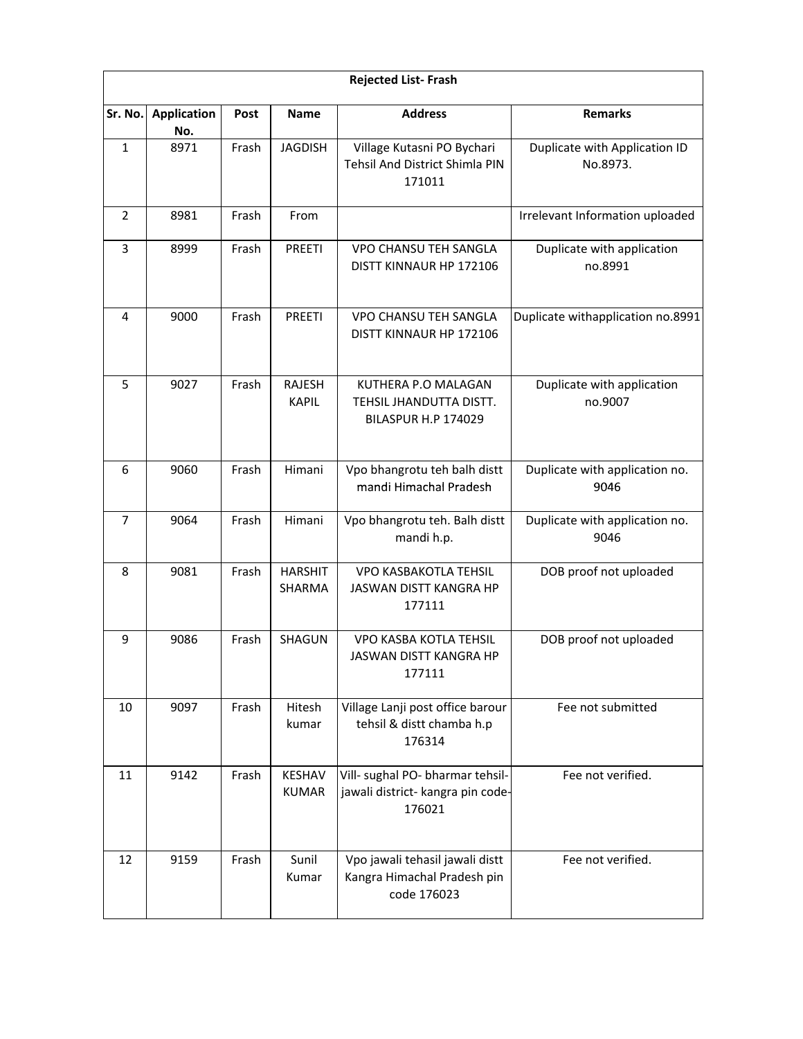|                | <b>Rejected List-Frash</b> |       |                               |                                                                                 |                                           |  |  |  |
|----------------|----------------------------|-------|-------------------------------|---------------------------------------------------------------------------------|-------------------------------------------|--|--|--|
| Sr. No.        | <b>Application</b><br>No.  | Post  | <b>Name</b>                   | <b>Address</b>                                                                  | <b>Remarks</b>                            |  |  |  |
| $\mathbf{1}$   | 8971                       | Frash | <b>JAGDISH</b>                | Village Kutasni PO Bychari<br>Tehsil And District Shimla PIN<br>171011          | Duplicate with Application ID<br>No.8973. |  |  |  |
| 2              | 8981                       | Frash | From                          |                                                                                 | Irrelevant Information uploaded           |  |  |  |
| 3              | 8999                       | Frash | <b>PREETI</b>                 | VPO CHANSU TEH SANGLA<br>DISTT KINNAUR HP 172106                                | Duplicate with application<br>no.8991     |  |  |  |
| 4              | 9000                       | Frash | <b>PREETI</b>                 | VPO CHANSU TEH SANGLA<br>DISTT KINNAUR HP 172106                                | Duplicate withapplication no.8991         |  |  |  |
| 5              | 9027                       | Frash | <b>RAJESH</b><br><b>KAPIL</b> | KUTHERA P.O MALAGAN<br>TEHSIL JHANDUTTA DISTT.<br><b>BILASPUR H.P 174029</b>    | Duplicate with application<br>no.9007     |  |  |  |
| 6              | 9060                       | Frash | Himani                        | Vpo bhangrotu teh balh distt<br>mandi Himachal Pradesh                          | Duplicate with application no.<br>9046    |  |  |  |
| $\overline{7}$ | 9064                       | Frash | Himani                        | Vpo bhangrotu teh. Balh distt<br>mandi h.p.                                     | Duplicate with application no.<br>9046    |  |  |  |
| 8              | 9081                       | Frash | <b>HARSHIT</b><br>SHARMA      | VPO KASBAKOTLA TEHSIL<br>JASWAN DISTT KANGRA HP<br>177111                       | DOB proof not uploaded                    |  |  |  |
| 9              | 9086                       | Frash | SHAGUN                        | VPO KASBA KOTLA TEHSIL<br>JASWAN DISTT KANGRA HP<br>177111                      | DOB proof not uploaded                    |  |  |  |
| 10             | 9097                       | Frash | Hitesh<br>kumar               | Village Lanji post office barour<br>tehsil & distt chamba h.p<br>176314         | Fee not submitted                         |  |  |  |
| 11             | 9142                       | Frash | <b>KESHAV</b><br><b>KUMAR</b> | Vill- sughal PO- bharmar tehsil-<br>jawali district- kangra pin code-<br>176021 | Fee not verified.                         |  |  |  |
| 12             | 9159                       | Frash | Sunil<br>Kumar                | Vpo jawali tehasil jawali distt<br>Kangra Himachal Pradesh pin<br>code 176023   | Fee not verified.                         |  |  |  |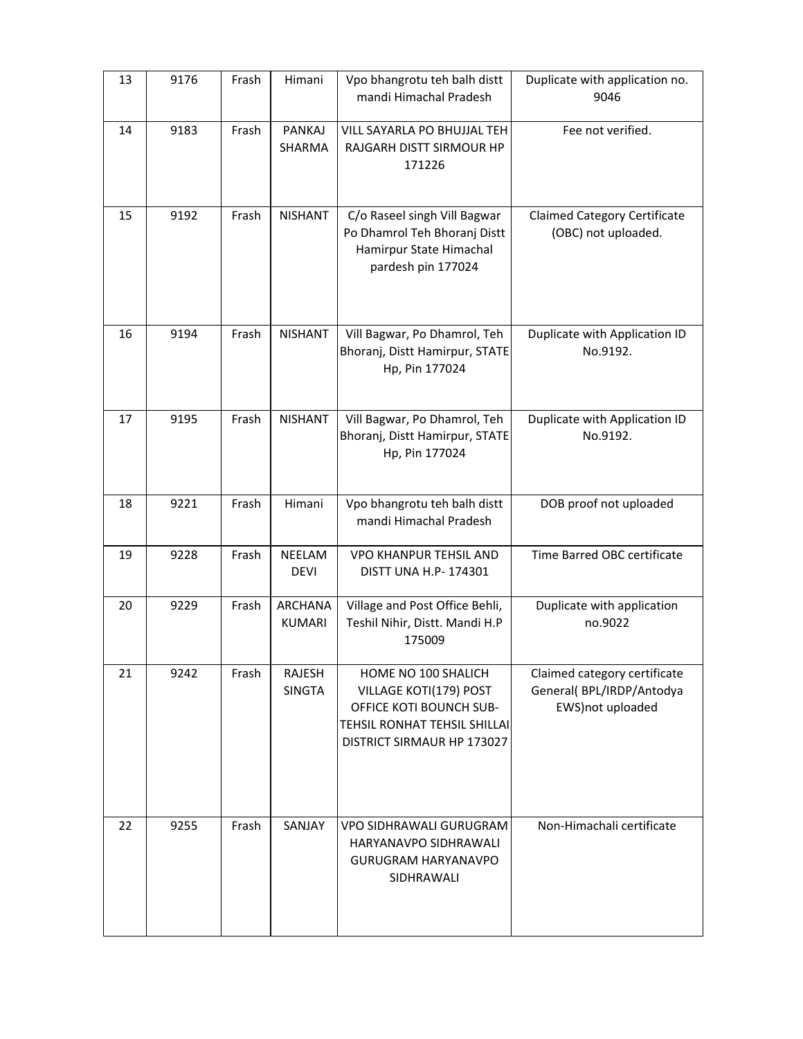| 13 | 9176 | Frash | Himani                         | Vpo bhangrotu teh balh distt<br>mandi Himachal Pradesh                                                                                        | Duplicate with application no.<br>9046                                        |
|----|------|-------|--------------------------------|-----------------------------------------------------------------------------------------------------------------------------------------------|-------------------------------------------------------------------------------|
| 14 | 9183 | Frash | <b>PANKAJ</b><br><b>SHARMA</b> | VILL SAYARLA PO BHUJJAL TEH<br>RAJGARH DISTT SIRMOUR HP<br>171226                                                                             | Fee not verified.                                                             |
| 15 | 9192 | Frash | <b>NISHANT</b>                 | C/o Raseel singh Vill Bagwar<br>Po Dhamrol Teh Bhoranj Distt<br>Hamirpur State Himachal<br>pardesh pin 177024                                 | <b>Claimed Category Certificate</b><br>(OBC) not uploaded.                    |
| 16 | 9194 | Frash | <b>NISHANT</b>                 | Vill Bagwar, Po Dhamrol, Teh<br>Bhoranj, Distt Hamirpur, STATE<br>Hp, Pin 177024                                                              | Duplicate with Application ID<br>No.9192.                                     |
| 17 | 9195 | Frash | <b>NISHANT</b>                 | Vill Bagwar, Po Dhamrol, Teh<br>Bhoranj, Distt Hamirpur, STATE<br>Hp, Pin 177024                                                              | Duplicate with Application ID<br>No.9192.                                     |
| 18 | 9221 | Frash | Himani                         | Vpo bhangrotu teh balh distt<br>mandi Himachal Pradesh                                                                                        | DOB proof not uploaded                                                        |
| 19 | 9228 | Frash | NEELAM<br><b>DEVI</b>          | <b>VPO KHANPUR TEHSIL AND</b><br>DISTT UNA H.P- 174301                                                                                        | Time Barred OBC certificate                                                   |
| 20 | 9229 | Frash | ARCHANA<br><b>KUMARI</b>       | Village and Post Office Behli,<br>Teshil Nihir, Distt. Mandi H.P<br>175009                                                                    | Duplicate with application<br>no.9022                                         |
| 21 | 9242 | Frash | RAJESH<br><b>SINGTA</b>        | HOME NO 100 SHALICH<br>VILLAGE KOTI(179) POST<br>OFFICE KOTI BOUNCH SUB-<br><b>TEHSIL RONHAT TEHSIL SHILLAI</b><br>DISTRICT SIRMAUR HP 173027 | Claimed category certificate<br>General(BPL/IRDP/Antodya<br>EWS) not uploaded |
| 22 | 9255 | Frash | SANJAY                         | VPO SIDHRAWALI GURUGRAM<br>HARYANAVPO SIDHRAWALI<br><b>GURUGRAM HARYANAVPO</b><br>SIDHRAWALI                                                  | Non-Himachali certificate                                                     |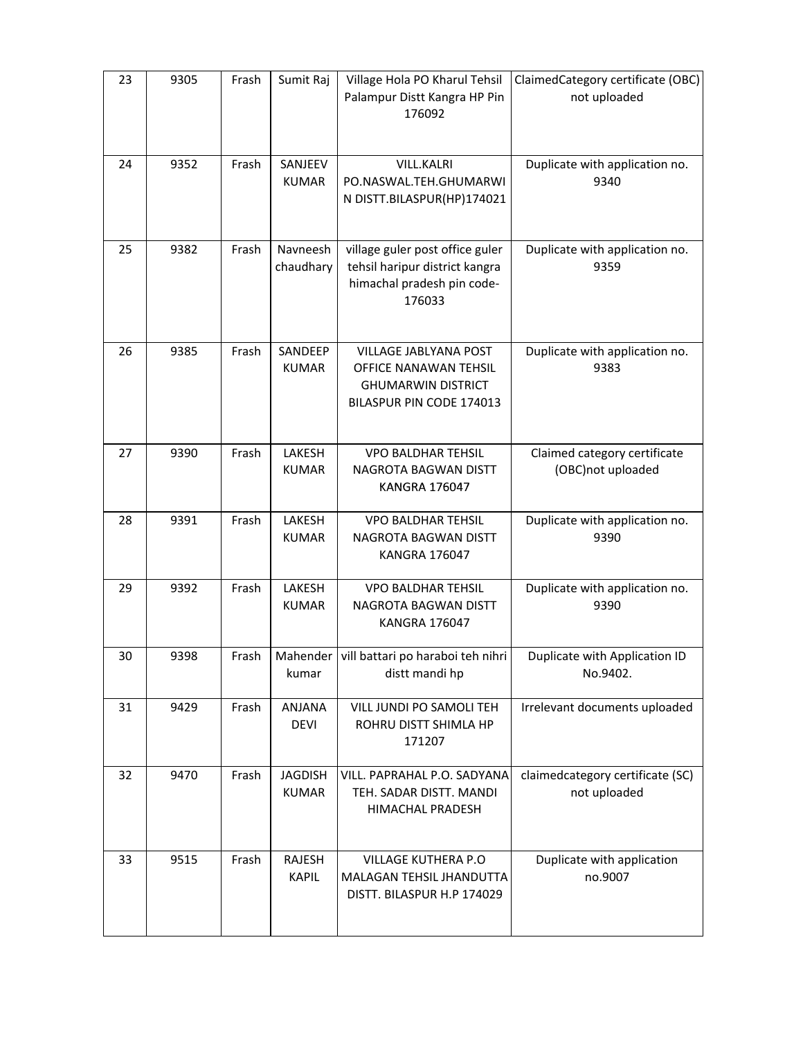| 23 | 9305 | Frash | Sumit Raj                      | Village Hola PO Kharul Tehsil<br>Palampur Distt Kangra HP Pin<br>176092                                   | ClaimedCategory certificate (OBC)<br>not uploaded |
|----|------|-------|--------------------------------|-----------------------------------------------------------------------------------------------------------|---------------------------------------------------|
| 24 | 9352 | Frash | SANJEEV<br><b>KUMAR</b>        | <b>VILL.KALRI</b><br>PO.NASWAL.TEH.GHUMARWI<br>N DISTT.BILASPUR(HP)174021                                 | Duplicate with application no.<br>9340            |
| 25 | 9382 | Frash | Navneesh<br>chaudhary          | village guler post office guler<br>tehsil haripur district kangra<br>himachal pradesh pin code-<br>176033 | Duplicate with application no.<br>9359            |
| 26 | 9385 | Frash | SANDEEP<br><b>KUMAR</b>        | VILLAGE JABLYANA POST<br>OFFICE NANAWAN TEHSIL<br><b>GHUMARWIN DISTRICT</b><br>BILASPUR PIN CODE 174013   | Duplicate with application no.<br>9383            |
| 27 | 9390 | Frash | LAKESH<br><b>KUMAR</b>         | <b>VPO BALDHAR TEHSIL</b><br>NAGROTA BAGWAN DISTT<br><b>KANGRA 176047</b>                                 | Claimed category certificate<br>(OBC)not uploaded |
| 28 | 9391 | Frash | LAKESH<br><b>KUMAR</b>         | <b>VPO BALDHAR TEHSIL</b><br>NAGROTA BAGWAN DISTT<br><b>KANGRA 176047</b>                                 | Duplicate with application no.<br>9390            |
| 29 | 9392 | Frash | LAKESH<br><b>KUMAR</b>         | <b>VPO BALDHAR TEHSIL</b><br>NAGROTA BAGWAN DISTT<br><b>KANGRA 176047</b>                                 | Duplicate with application no.<br>9390            |
| 30 | 9398 | Frash | kumar                          | Mahender   vill battari po haraboi teh nihri<br>distt mandi hp                                            | Duplicate with Application ID<br>No.9402.         |
| 31 | 9429 | Frash | ANJANA<br><b>DEVI</b>          | VILL JUNDI PO SAMOLI TEH<br>ROHRU DISTT SHIMLA HP<br>171207                                               | Irrelevant documents uploaded                     |
| 32 | 9470 | Frash | <b>JAGDISH</b><br><b>KUMAR</b> | VILL. PAPRAHAL P.O. SADYANA<br>TEH. SADAR DISTT. MANDI<br><b>HIMACHAL PRADESH</b>                         | claimedcategory certificate (SC)<br>not uploaded  |
| 33 | 9515 | Frash | RAJESH<br><b>KAPIL</b>         | VILLAGE KUTHERA P.O<br>MALAGAN TEHSIL JHANDUTTA<br>DISTT. BILASPUR H.P 174029                             | Duplicate with application<br>no.9007             |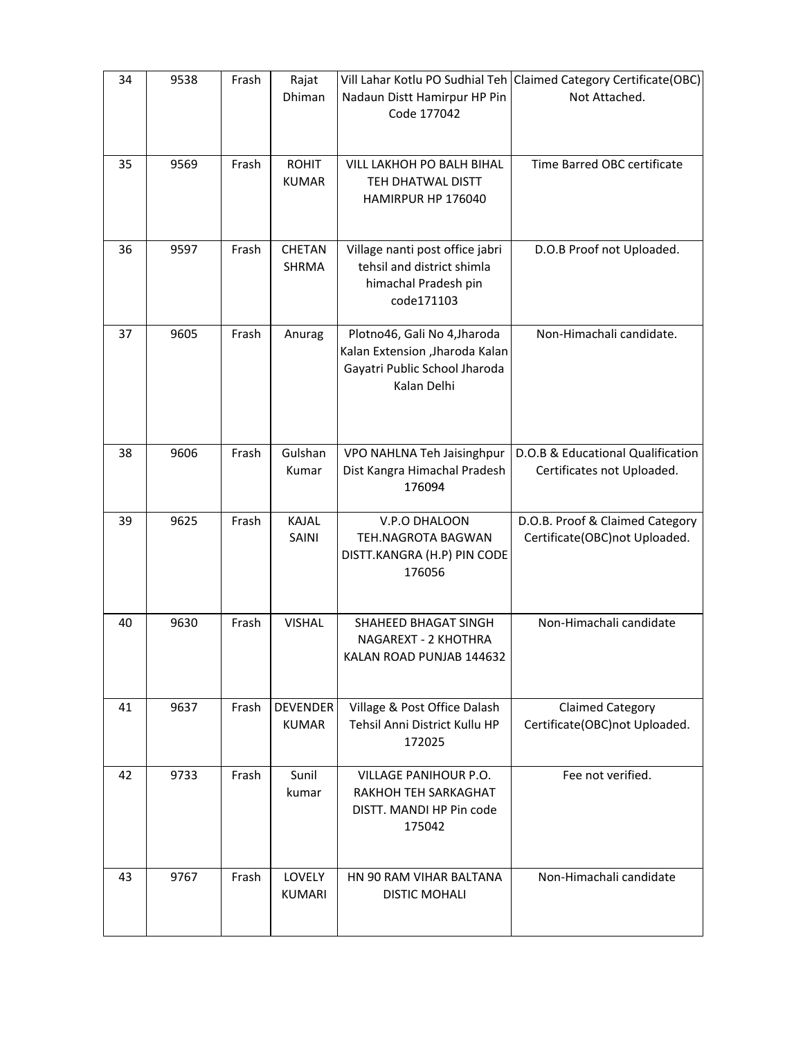| 34 | 9538 | Frash | Rajat<br>Dhiman                 | Nadaun Distt Hamirpur HP Pin<br>Code 177042                                                                     | Vill Lahar Kotlu PO Sudhial Teh Claimed Category Certificate (OBC)<br>Not Attached. |
|----|------|-------|---------------------------------|-----------------------------------------------------------------------------------------------------------------|-------------------------------------------------------------------------------------|
| 35 | 9569 | Frash | <b>ROHIT</b><br><b>KUMAR</b>    | VILL LAKHOH PO BALH BIHAL<br>TEH DHATWAL DISTT<br>HAMIRPUR HP 176040                                            | Time Barred OBC certificate                                                         |
| 36 | 9597 | Frash | <b>CHETAN</b><br>SHRMA          | Village nanti post office jabri<br>tehsil and district shimla<br>himachal Pradesh pin<br>code171103             | D.O.B Proof not Uploaded.                                                           |
| 37 | 9605 | Frash | Anurag                          | Plotno46, Gali No 4, Jharoda<br>Kalan Extension , Jharoda Kalan<br>Gayatri Public School Jharoda<br>Kalan Delhi | Non-Himachali candidate.                                                            |
| 38 | 9606 | Frash | Gulshan<br>Kumar                | VPO NAHLNA Teh Jaisinghpur<br>Dist Kangra Himachal Pradesh<br>176094                                            | D.O.B & Educational Qualification<br>Certificates not Uploaded.                     |
| 39 | 9625 | Frash | <b>KAJAL</b><br>SAINI           | V.P.O DHALOON<br>TEH.NAGROTA BAGWAN<br>DISTT.KANGRA (H.P) PIN CODE<br>176056                                    | D.O.B. Proof & Claimed Category<br>Certificate(OBC)not Uploaded.                    |
| 40 | 9630 | Frash | <b>VISHAL</b>                   | SHAHEED BHAGAT SINGH<br>NAGAREXT - 2 KHOTHRA<br>KALAN ROAD PUNJAB 144632                                        | Non-Himachali candidate                                                             |
| 41 | 9637 | Frash | <b>DEVENDER</b><br><b>KUMAR</b> | Village & Post Office Dalash<br>Tehsil Anni District Kullu HP<br>172025                                         | <b>Claimed Category</b><br>Certificate(OBC)not Uploaded.                            |
| 42 | 9733 | Frash | Sunil<br>kumar                  | VILLAGE PANIHOUR P.O.<br>RAKHOH TEH SARKAGHAT<br>DISTT. MANDI HP Pin code<br>175042                             | Fee not verified.                                                                   |
| 43 | 9767 | Frash | LOVELY<br><b>KUMARI</b>         | HN 90 RAM VIHAR BALTANA<br><b>DISTIC MOHALI</b>                                                                 | Non-Himachali candidate                                                             |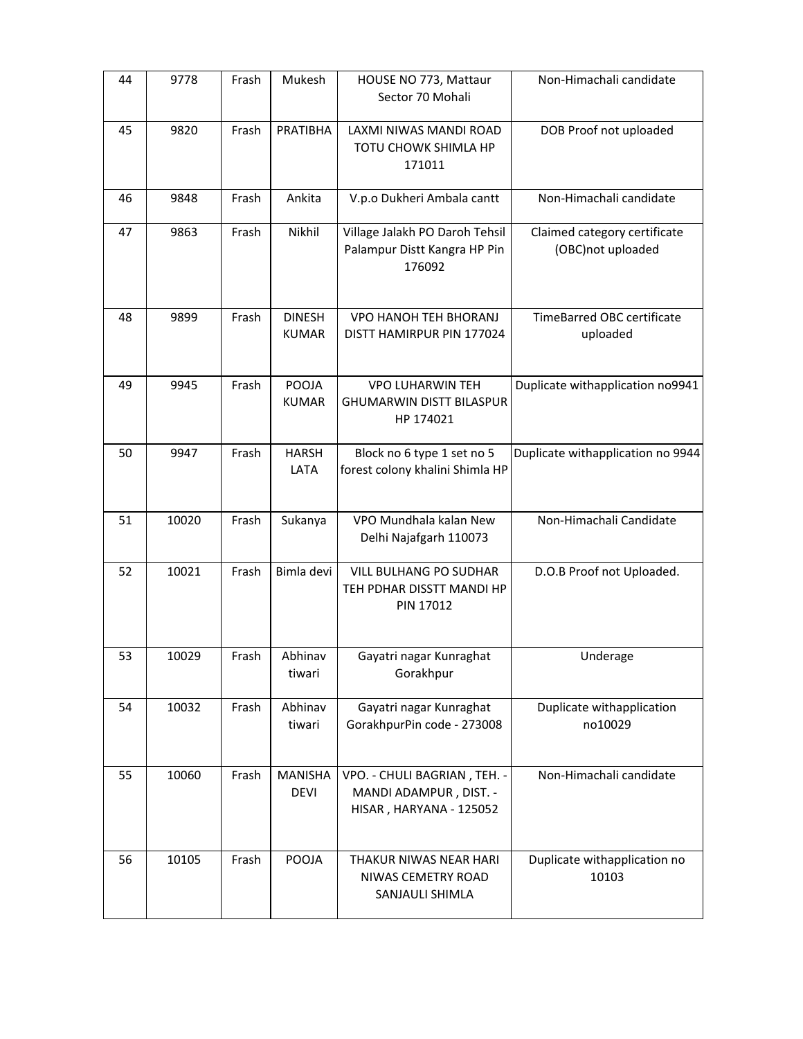| 44 | 9778  | Frash | Mukesh                        | HOUSE NO 773, Mattaur<br>Sector 70 Mohali                                         | Non-Himachali candidate                           |
|----|-------|-------|-------------------------------|-----------------------------------------------------------------------------------|---------------------------------------------------|
| 45 | 9820  | Frash | <b>PRATIBHA</b>               | LAXMI NIWAS MANDI ROAD<br>TOTU CHOWK SHIMLA HP<br>171011                          | DOB Proof not uploaded                            |
| 46 | 9848  | Frash | Ankita                        | V.p.o Dukheri Ambala cantt                                                        | Non-Himachali candidate                           |
| 47 | 9863  | Frash | Nikhil                        | Village Jalakh PO Daroh Tehsil<br>Palampur Distt Kangra HP Pin<br>176092          | Claimed category certificate<br>(OBC)not uploaded |
| 48 | 9899  | Frash | <b>DINESH</b><br><b>KUMAR</b> | <b>VPO HANOH TEH BHORANJ</b><br>DISTT HAMIRPUR PIN 177024                         | <b>TimeBarred OBC certificate</b><br>uploaded     |
| 49 | 9945  | Frash | POOJA<br><b>KUMAR</b>         | <b>VPO LUHARWIN TEH</b><br>GHUMARWIN DISTT BILASPUR<br>HP 174021                  | Duplicate withapplication no9941                  |
| 50 | 9947  | Frash | <b>HARSH</b><br>LATA          | Block no 6 type 1 set no 5<br>forest colony khalini Shimla HP                     | Duplicate withapplication no 9944                 |
| 51 | 10020 | Frash | Sukanya                       | VPO Mundhala kalan New<br>Delhi Najafgarh 110073                                  | Non-Himachali Candidate                           |
| 52 | 10021 | Frash | Bimla devi                    | <b>VILL BULHANG PO SUDHAR</b><br>TEH PDHAR DISSTT MANDI HP<br>PIN 17012           | D.O.B Proof not Uploaded.                         |
| 53 | 10029 | Frash | Abhinav<br>tiwari             | Gayatri nagar Kunraghat<br>Gorakhpur                                              | Underage                                          |
| 54 | 10032 | Frash | Abhinav<br>tiwari             | Gayatri nagar Kunraghat<br>GorakhpurPin code - 273008                             | Duplicate withapplication<br>no10029              |
| 55 | 10060 | Frash | <b>MANISHA</b><br><b>DEVI</b> | VPO. - CHULI BAGRIAN, TEH. -<br>MANDI ADAMPUR, DIST. -<br>HISAR, HARYANA - 125052 | Non-Himachali candidate                           |
| 56 | 10105 | Frash | POOJA                         | THAKUR NIWAS NEAR HARI<br>NIWAS CEMETRY ROAD<br>SANJAULI SHIMLA                   | Duplicate withapplication no<br>10103             |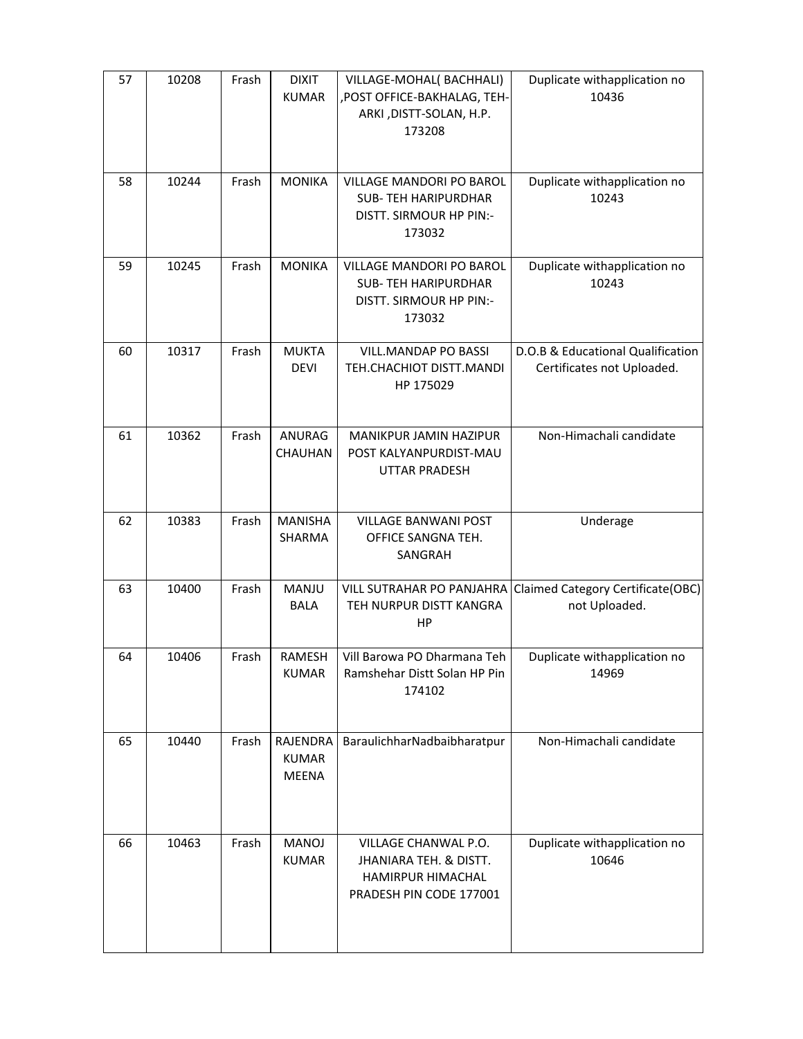| 57 | 10208 | Frash | <b>DIXIT</b><br><b>KUMAR</b>                    | VILLAGE-MOHAL(BACHHALI)<br>, POST OFFICE-BAKHALAG, TEH-<br>ARKI, DISTT-SOLAN, H.P.<br>173208   | Duplicate withapplication no<br>10436                           |
|----|-------|-------|-------------------------------------------------|------------------------------------------------------------------------------------------------|-----------------------------------------------------------------|
| 58 | 10244 | Frash | <b>MONIKA</b>                                   | VILLAGE MANDORI PO BAROL<br><b>SUB-TEH HARIPURDHAR</b><br>DISTT. SIRMOUR HP PIN:-<br>173032    | Duplicate withapplication no<br>10243                           |
| 59 | 10245 | Frash | <b>MONIKA</b>                                   | VILLAGE MANDORI PO BAROL<br><b>SUB-TEH HARIPURDHAR</b><br>DISTT. SIRMOUR HP PIN:-<br>173032    | Duplicate withapplication no<br>10243                           |
| 60 | 10317 | Frash | <b>MUKTA</b><br><b>DEVI</b>                     | VILL.MANDAP PO BASSI<br>TEH.CHACHIOT DISTT.MANDI<br>HP 175029                                  | D.O.B & Educational Qualification<br>Certificates not Uploaded. |
| 61 | 10362 | Frash | <b>ANURAG</b><br><b>CHAUHAN</b>                 | MANIKPUR JAMIN HAZIPUR<br>POST KALYANPURDIST-MAU<br><b>UTTAR PRADESH</b>                       | Non-Himachali candidate                                         |
| 62 | 10383 | Frash | <b>MANISHA</b><br>SHARMA                        | <b>VILLAGE BANWANI POST</b><br>OFFICE SANGNA TEH.<br>SANGRAH                                   | Underage                                                        |
| 63 | 10400 | Frash | MANJU<br>BALA                                   | <b>VILL SUTRAHAR PO PANJAHRA</b><br>TEH NURPUR DISTT KANGRA<br>HP                              | Claimed Category Certificate(OBC)<br>not Uploaded.              |
| 64 | 10406 | Frash | RAMESH<br><b>KUMAR</b>                          | Vill Barowa PO Dharmana Teh<br>Ramshehar Distt Solan HP Pin<br>174102                          | Duplicate withapplication no<br>14969                           |
| 65 | 10440 | Frash | <b>RAJENDRA</b><br><b>KUMAR</b><br><b>MEENA</b> | BaraulichharNadbaibharatpur                                                                    | Non-Himachali candidate                                         |
| 66 | 10463 | Frash | MANOJ<br><b>KUMAR</b>                           | VILLAGE CHANWAL P.O.<br>JHANIARA TEH. & DISTT.<br>HAMIRPUR HIMACHAL<br>PRADESH PIN CODE 177001 | Duplicate withapplication no<br>10646                           |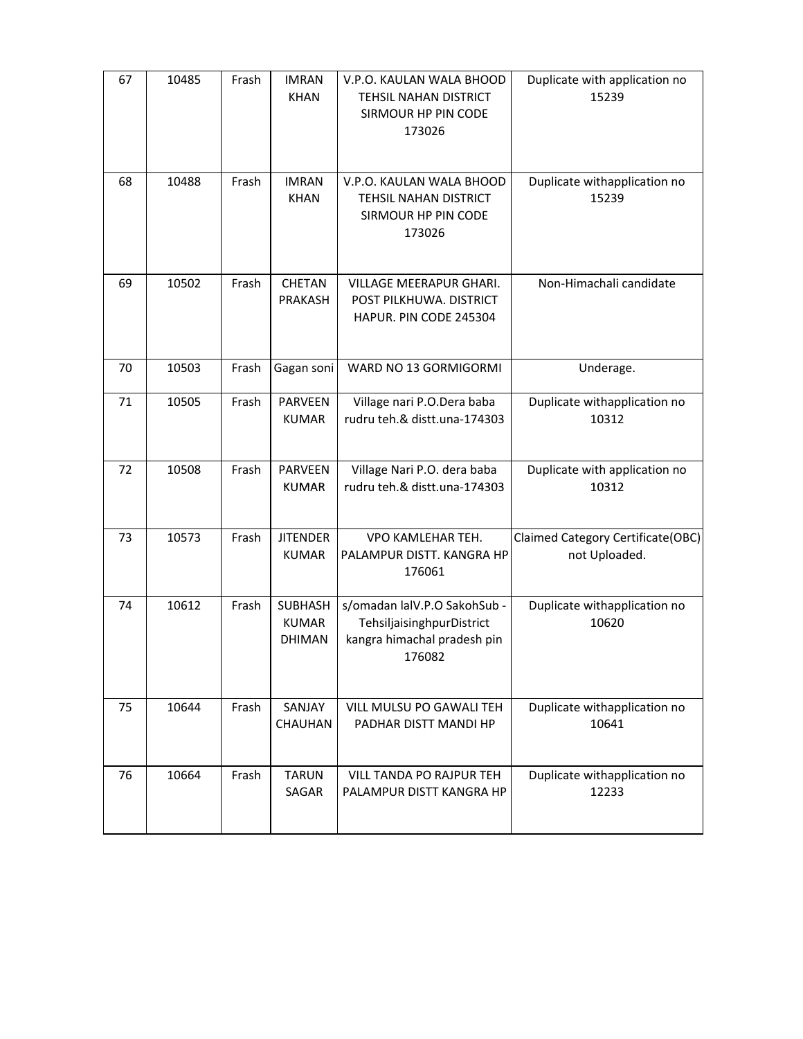| 67 | 10485 | Frash | <b>IMRAN</b><br><b>KHAN</b>              | V.P.O. KAULAN WALA BHOOD<br>TEHSIL NAHAN DISTRICT<br>SIRMOUR HP PIN CODE<br>173026                 | Duplicate with application no<br>15239             |
|----|-------|-------|------------------------------------------|----------------------------------------------------------------------------------------------------|----------------------------------------------------|
| 68 | 10488 | Frash | <b>IMRAN</b><br><b>KHAN</b>              | V.P.O. KAULAN WALA BHOOD<br>TEHSIL NAHAN DISTRICT<br>SIRMOUR HP PIN CODE<br>173026                 | Duplicate withapplication no<br>15239              |
| 69 | 10502 | Frash | CHETAN<br>PRAKASH                        | VILLAGE MEERAPUR GHARI.<br>POST PILKHUWA. DISTRICT<br>HAPUR. PIN CODE 245304                       | Non-Himachali candidate                            |
| 70 | 10503 | Frash | Gagan soni                               | WARD NO 13 GORMIGORMI                                                                              | Underage.                                          |
| 71 | 10505 | Frash | <b>PARVEEN</b><br><b>KUMAR</b>           | Village nari P.O.Dera baba<br>rudru teh.& distt.una-174303                                         | Duplicate withapplication no<br>10312              |
| 72 | 10508 | Frash | PARVEEN<br><b>KUMAR</b>                  | Village Nari P.O. dera baba<br>rudru teh.& distt.una-174303                                        | Duplicate with application no<br>10312             |
| 73 | 10573 | Frash | <b>JITENDER</b><br><b>KUMAR</b>          | VPO KAMLEHAR TEH.<br>PALAMPUR DISTT. KANGRA HP<br>176061                                           | Claimed Category Certificate(OBC)<br>not Uploaded. |
| 74 | 10612 | Frash | SUBHASH<br><b>KUMAR</b><br><b>DHIMAN</b> | s/omadan lalV.P.O SakohSub -<br>TehsiljaisinghpurDistrict<br>kangra himachal pradesh pin<br>176082 | Duplicate withapplication no<br>10620              |
| 75 | 10644 | Frash | SANJAY<br><b>CHAUHAN</b>                 | VILL MULSU PO GAWALI TEH<br>PADHAR DISTT MANDI HP                                                  | Duplicate withapplication no<br>10641              |
| 76 | 10664 | Frash | <b>TARUN</b><br>SAGAR                    | VILL TANDA PO RAJPUR TEH<br>PALAMPUR DISTT KANGRA HP                                               | Duplicate withapplication no<br>12233              |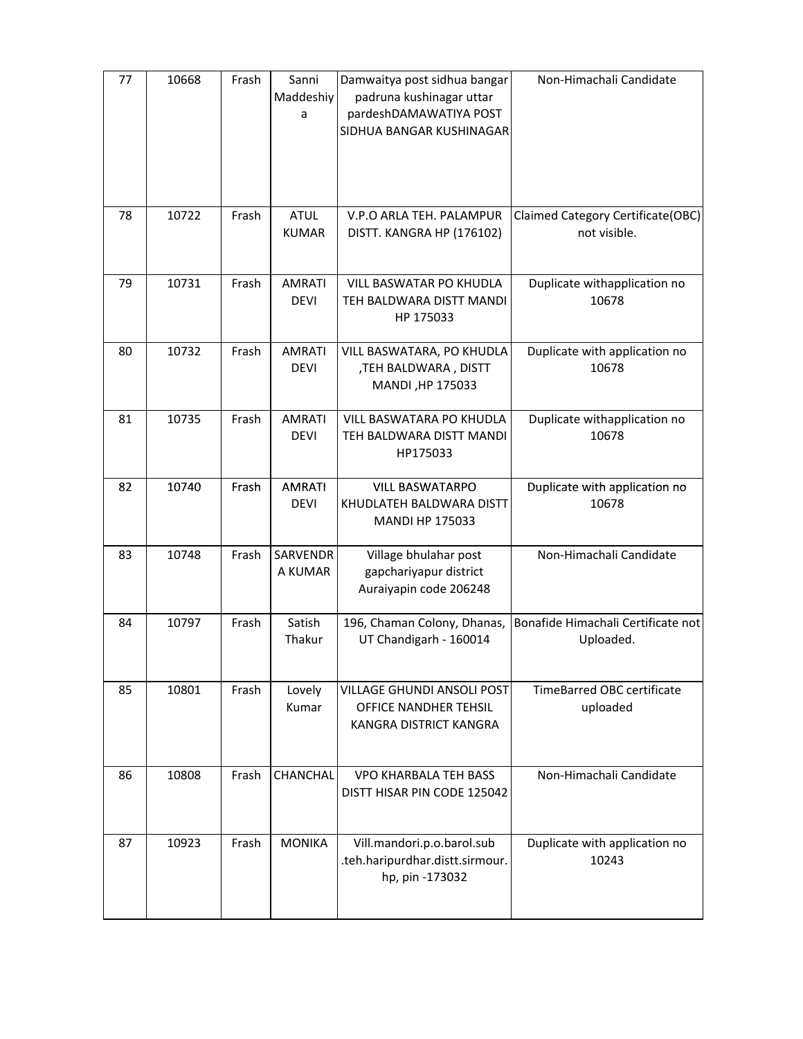| 77 | 10668 | Frash | Sanni<br>Maddeshiy<br>a      | Damwaitya post sidhua bangar<br>padruna kushinagar uttar<br>pardeshDAMAWATIYA POST<br>SIDHUA BANGAR KUSHINAGAR | Non-Himachali Candidate                           |
|----|-------|-------|------------------------------|----------------------------------------------------------------------------------------------------------------|---------------------------------------------------|
| 78 | 10722 | Frash | <b>ATUL</b><br><b>KUMAR</b>  | V.P.O ARLA TEH. PALAMPUR<br>DISTT. KANGRA HP (176102)                                                          | Claimed Category Certificate(OBC)<br>not visible. |
| 79 | 10731 | Frash | <b>AMRATI</b><br><b>DEVI</b> | VILL BASWATAR PO KHUDLA<br>TEH BALDWARA DISTT MANDI<br>HP 175033                                               | Duplicate withapplication no<br>10678             |
| 80 | 10732 | Frash | <b>AMRATI</b><br><b>DEVI</b> | VILL BASWATARA, PO KHUDLA<br>,TEH BALDWARA, DISTT<br>MANDI, HP 175033                                          | Duplicate with application no<br>10678            |
| 81 | 10735 | Frash | <b>AMRATI</b><br><b>DEVI</b> | VILL BASWATARA PO KHUDLA<br>TEH BALDWARA DISTT MANDI<br>HP175033                                               | Duplicate withapplication no<br>10678             |
| 82 | 10740 | Frash | <b>AMRATI</b><br><b>DEVI</b> | <b>VILL BASWATARPO</b><br>KHUDLATEH BALDWARA DISTT<br><b>MANDI HP 175033</b>                                   | Duplicate with application no<br>10678            |
| 83 | 10748 | Frash | SARVENDR<br>A KUMAR          | Village bhulahar post<br>gapchariyapur district<br>Auraiyapin code 206248                                      | Non-Himachali Candidate                           |
| 84 | 10797 | Frash | Satish<br>Thakur             | 196, Chaman Colony, Dhanas,<br>UT Chandigarh - 160014                                                          | Bonafide Himachali Certificate not<br>Uploaded.   |
| 85 | 10801 | Frash | Lovely<br>Kumar              | VILLAGE GHUNDI ANSOLI POST<br>OFFICE NANDHER TEHSIL<br>KANGRA DISTRICT KANGRA                                  | <b>TimeBarred OBC certificate</b><br>uploaded     |
| 86 | 10808 | Frash | CHANCHAL                     | <b>VPO KHARBALA TEH BASS</b><br>DISTT HISAR PIN CODE 125042                                                    | Non-Himachali Candidate                           |
| 87 | 10923 | Frash | <b>MONIKA</b>                | Vill.mandori.p.o.barol.sub<br>.teh.haripurdhar.distt.sirmour.<br>hp, pin -173032                               | Duplicate with application no<br>10243            |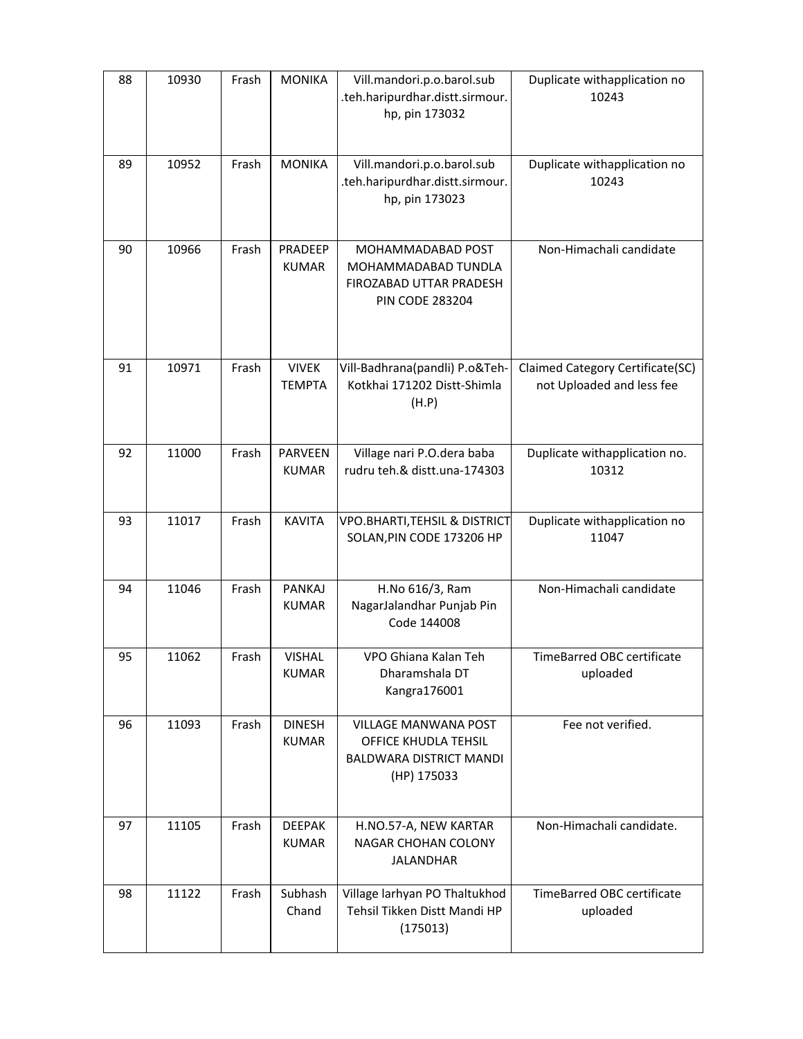| 88 | 10930 | Frash | <b>MONIKA</b>                  | Vill.mandori.p.o.barol.sub<br>.teh.haripurdhar.distt.sirmour.<br>hp, pin 173032               | Duplicate withapplication no<br>10243                         |
|----|-------|-------|--------------------------------|-----------------------------------------------------------------------------------------------|---------------------------------------------------------------|
| 89 | 10952 | Frash | <b>MONIKA</b>                  | Vill.mandori.p.o.barol.sub<br>.teh.haripurdhar.distt.sirmour.<br>hp, pin 173023               | Duplicate withapplication no<br>10243                         |
| 90 | 10966 | Frash | PRADEEP<br><b>KUMAR</b>        | MOHAMMADABAD POST<br>MOHAMMADABAD TUNDLA<br>FIROZABAD UTTAR PRADESH<br><b>PIN CODE 283204</b> | Non-Himachali candidate                                       |
| 91 | 10971 | Frash | <b>VIVEK</b><br><b>TEMPTA</b>  | Vill-Badhrana(pandli) P.o&Teh-<br>Kotkhai 171202 Distt-Shimla<br>(H.P)                        | Claimed Category Certificate(SC)<br>not Uploaded and less fee |
| 92 | 11000 | Frash | <b>PARVEEN</b><br><b>KUMAR</b> | Village nari P.O.dera baba<br>rudru teh.& distt.una-174303                                    | Duplicate withapplication no.<br>10312                        |
| 93 | 11017 | Frash | <b>KAVITA</b>                  | <b>VPO.BHARTI, TEHSIL &amp; DISTRICT</b><br>SOLAN, PIN CODE 173206 HP                         | Duplicate withapplication no<br>11047                         |
| 94 | 11046 | Frash | <b>PANKAJ</b><br><b>KUMAR</b>  | H.No 616/3, Ram<br>NagarJalandhar Punjab Pin<br>Code 144008                                   | Non-Himachali candidate                                       |
| 95 | 11062 | Frash | <b>VISHAL</b><br><b>KUMAR</b>  | VPO Ghiana Kalan Teh<br>Dharamshala DT<br>Kangra176001                                        | TimeBarred OBC certificate<br>uploaded                        |
| 96 | 11093 | Frash | <b>DINESH</b><br><b>KUMAR</b>  | VILLAGE MANWANA POST<br>OFFICE KHUDLA TEHSIL<br><b>BALDWARA DISTRICT MANDI</b><br>(HP) 175033 | Fee not verified.                                             |
| 97 | 11105 | Frash | <b>DEEPAK</b><br><b>KUMAR</b>  | H.NO.57-A, NEW KARTAR<br>NAGAR CHOHAN COLONY<br><b>JALANDHAR</b>                              | Non-Himachali candidate.                                      |
| 98 | 11122 | Frash | Subhash<br>Chand               | Village larhyan PO Thaltukhod<br>Tehsil Tikken Distt Mandi HP<br>(175013)                     | TimeBarred OBC certificate<br>uploaded                        |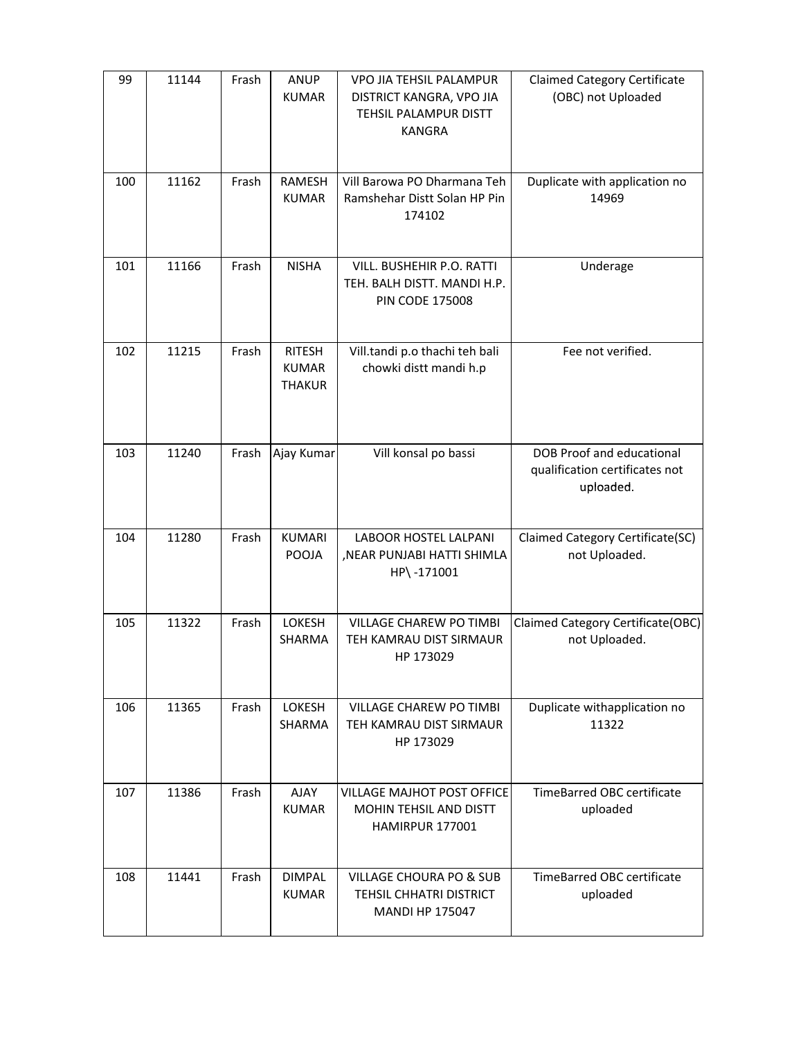| 99  | 11144 | Frash | <b>ANUP</b><br><b>KUMAR</b>                    | VPO JIA TEHSIL PALAMPUR<br>DISTRICT KANGRA, VPO JIA<br>TEHSIL PALAMPUR DISTT<br><b>KANGRA</b> | <b>Claimed Category Certificate</b><br>(OBC) not Uploaded                       |
|-----|-------|-------|------------------------------------------------|-----------------------------------------------------------------------------------------------|---------------------------------------------------------------------------------|
| 100 | 11162 | Frash | <b>RAMESH</b><br><b>KUMAR</b>                  | Vill Barowa PO Dharmana Teh<br>Ramshehar Distt Solan HP Pin<br>174102                         | Duplicate with application no<br>14969                                          |
| 101 | 11166 | Frash | <b>NISHA</b>                                   | VILL. BUSHEHIR P.O. RATTI<br>TEH. BALH DISTT. MANDI H.P.<br><b>PIN CODE 175008</b>            | Underage                                                                        |
| 102 | 11215 | Frash | <b>RITESH</b><br><b>KUMAR</b><br><b>THAKUR</b> | Vill.tandi p.o thachi teh bali<br>chowki distt mandi h.p                                      | Fee not verified.                                                               |
| 103 | 11240 | Frash | Ajay Kumar                                     | Vill konsal po bassi                                                                          | <b>DOB Proof and educational</b><br>qualification certificates not<br>uploaded. |
| 104 | 11280 | Frash | <b>KUMARI</b><br><b>POOJA</b>                  | LABOOR HOSTEL LALPANI<br>, NEAR PUNJABI HATTI SHIMLA<br>HP\-171001                            | Claimed Category Certificate(SC)<br>not Uploaded.                               |
| 105 | 11322 | Frash | LOKESH<br>SHARMA                               | <b>VILLAGE CHAREW PO TIMBI</b><br>TEH KAMRAU DIST SIRMAUR<br>HP 173029                        | Claimed Category Certificate(OBC)<br>not Uploaded.                              |
| 106 | 11365 | Frash | LOKESH<br><b>SHARMA</b>                        | VILLAGE CHAREW PO TIMBI<br>TEH KAMRAU DIST SIRMAUR<br>HP 173029                               | Duplicate withapplication no<br>11322                                           |
| 107 | 11386 | Frash | <b>AJAY</b><br><b>KUMAR</b>                    | <b>VILLAGE MAJHOT POST OFFICE</b><br><b>MOHIN TEHSIL AND DISTT</b><br>HAMIRPUR 177001         | <b>TimeBarred OBC certificate</b><br>uploaded                                   |
| 108 | 11441 | Frash | <b>DIMPAL</b><br><b>KUMAR</b>                  | <b>VILLAGE CHOURA PO &amp; SUB</b><br>TEHSIL CHHATRI DISTRICT<br><b>MANDI HP 175047</b>       | <b>TimeBarred OBC certificate</b><br>uploaded                                   |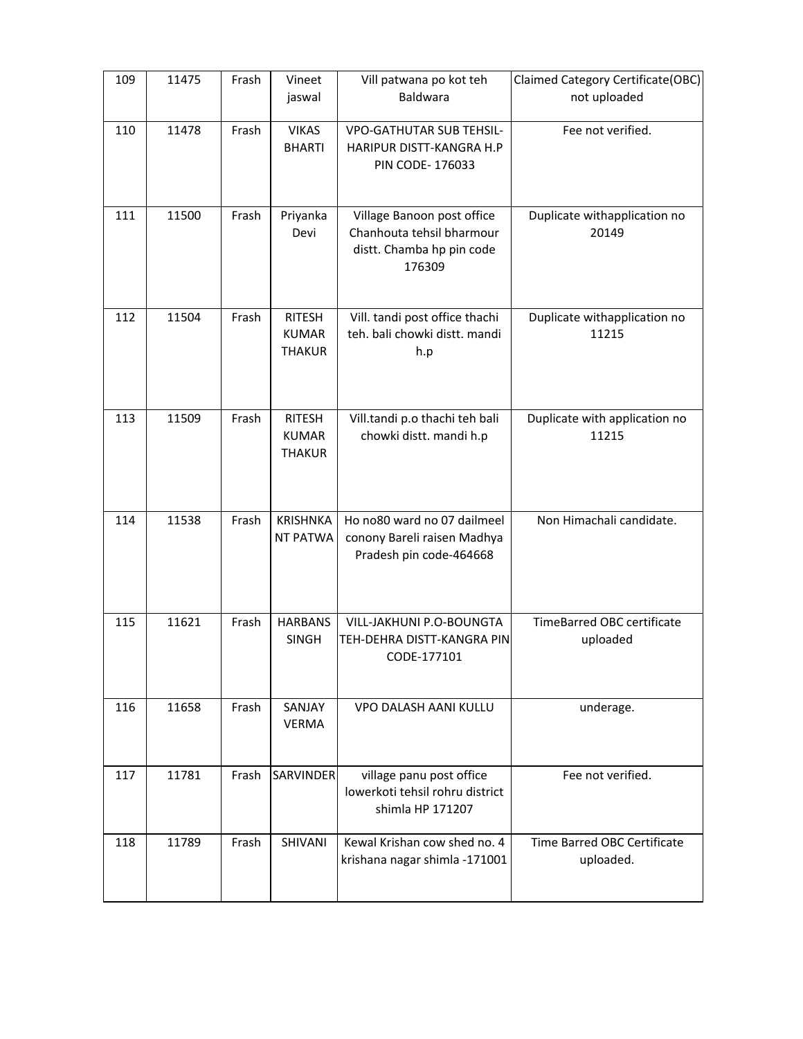| 109 | 11475 | Frash | Vineet           | Vill patwana po kot teh         | Claimed Category Certificate(OBC) |
|-----|-------|-------|------------------|---------------------------------|-----------------------------------|
|     |       |       | jaswal           | Baldwara                        | not uploaded                      |
|     |       |       |                  |                                 |                                   |
| 110 | 11478 | Frash | <b>VIKAS</b>     | <b>VPO-GATHUTAR SUB TEHSIL-</b> | Fee not verified.                 |
|     |       |       | <b>BHARTI</b>    | HARIPUR DISTT-KANGRA H.P        |                                   |
|     |       |       |                  | PIN CODE-176033                 |                                   |
|     |       |       |                  |                                 |                                   |
| 111 | 11500 | Frash | Priyanka         | Village Banoon post office      | Duplicate withapplication no      |
|     |       |       | Devi             | Chanhouta tehsil bharmour       | 20149                             |
|     |       |       |                  | distt. Chamba hp pin code       |                                   |
|     |       |       |                  | 176309                          |                                   |
|     |       |       |                  |                                 |                                   |
|     |       |       |                  |                                 |                                   |
| 112 | 11504 | Frash | <b>RITESH</b>    | Vill. tandi post office thachi  | Duplicate withapplication no      |
|     |       |       | <b>KUMAR</b>     | teh. bali chowki distt. mandi   | 11215                             |
|     |       |       | <b>THAKUR</b>    | h.p                             |                                   |
|     |       |       |                  |                                 |                                   |
|     |       |       |                  |                                 |                                   |
| 113 | 11509 | Frash | <b>RITESH</b>    | Vill.tandi p.o thachi teh bali  | Duplicate with application no     |
|     |       |       | <b>KUMAR</b>     | chowki distt. mandi h.p         | 11215                             |
|     |       |       | <b>THAKUR</b>    |                                 |                                   |
|     |       |       |                  |                                 |                                   |
|     |       |       |                  |                                 |                                   |
|     |       |       |                  |                                 |                                   |
| 114 | 11538 | Frash | <b>KRISHNKA</b>  | Ho no80 ward no 07 dailmeel     | Non Himachali candidate.          |
|     |       |       | NT PATWA         | conony Bareli raisen Madhya     |                                   |
|     |       |       |                  | Pradesh pin code-464668         |                                   |
|     |       |       |                  |                                 |                                   |
|     |       |       |                  |                                 |                                   |
| 115 | 11621 | Frash | <b>HARBANS</b>   | VILL-JAKHUNI P.O-BOUNGTA        | TimeBarred OBC certificate        |
|     |       |       | <b>SINGH</b>     | TEH-DEHRA DISTT-KANGRA PIN      | uploaded                          |
|     |       |       |                  | CODE-177101                     |                                   |
|     |       |       |                  |                                 |                                   |
|     |       |       |                  |                                 |                                   |
| 116 | 11658 | Frash | SANJAY           | VPO DALASH AANI KULLU           | underage.                         |
|     |       |       | <b>VERMA</b>     |                                 |                                   |
|     |       |       |                  |                                 |                                   |
| 117 | 11781 | Frash | <b>SARVINDER</b> | village panu post office        | Fee not verified.                 |
|     |       |       |                  | lowerkoti tehsil rohru district |                                   |
|     |       |       |                  | shimla HP 171207                |                                   |
|     |       |       |                  |                                 |                                   |
| 118 | 11789 | Frash | SHIVANI          | Kewal Krishan cow shed no. 4    | Time Barred OBC Certificate       |
|     |       |       |                  | krishana nagar shimla -171001   | uploaded.                         |
|     |       |       |                  |                                 |                                   |
|     |       |       |                  |                                 |                                   |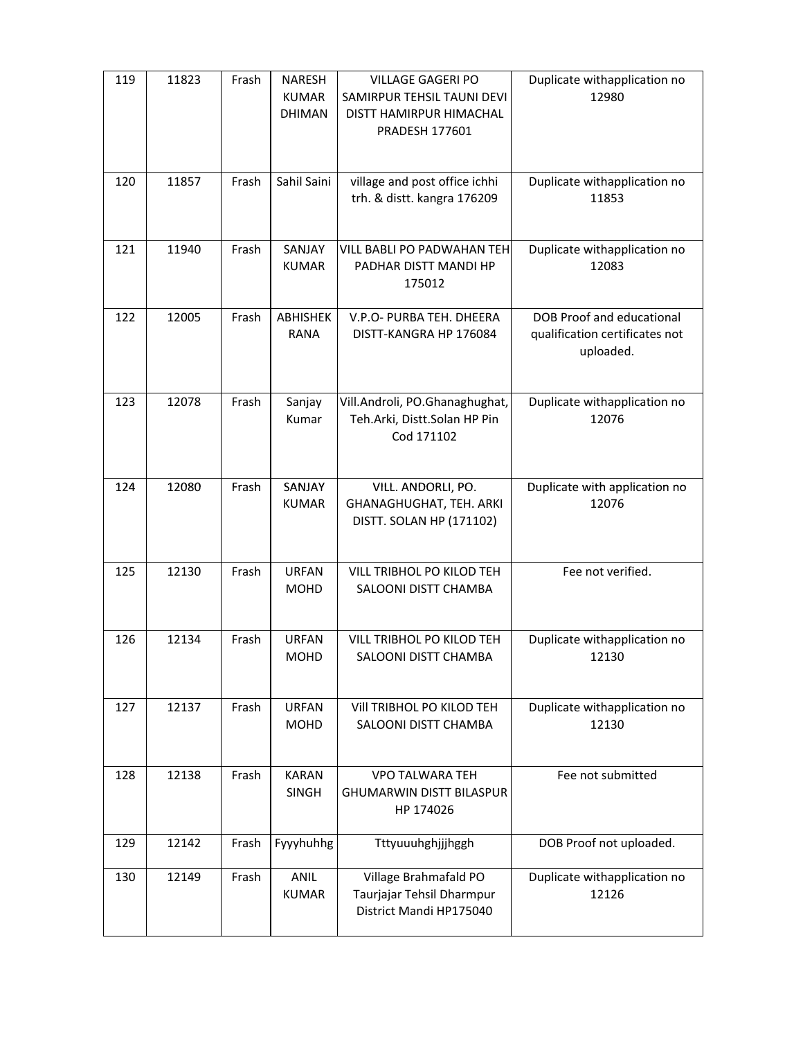| 119 | 11823 | Frash | <b>NARESH</b><br><b>KUMAR</b><br><b>DHIMAN</b> | <b>VILLAGE GAGERI PO</b><br>SAMIRPUR TEHSIL TAUNI DEVI<br>DISTT HAMIRPUR HIMACHAL<br><b>PRADESH 177601</b> | Duplicate withapplication no<br>12980                                    |
|-----|-------|-------|------------------------------------------------|------------------------------------------------------------------------------------------------------------|--------------------------------------------------------------------------|
| 120 | 11857 | Frash | Sahil Saini                                    | village and post office ichhi<br>trh. & distt. kangra 176209                                               | Duplicate withapplication no<br>11853                                    |
| 121 | 11940 | Frash | SANJAY<br><b>KUMAR</b>                         | <b>VILL BABLI PO PADWAHAN TEH</b><br>PADHAR DISTT MANDI HP<br>175012                                       | Duplicate withapplication no<br>12083                                    |
| 122 | 12005 | Frash | ABHISHEK<br>RANA                               | V.P.O- PURBA TEH. DHEERA<br>DISTT-KANGRA HP 176084                                                         | DOB Proof and educational<br>qualification certificates not<br>uploaded. |
| 123 | 12078 | Frash | Sanjay<br>Kumar                                | Vill.Androli, PO.Ghanaghughat,<br>Teh.Arki, Distt.Solan HP Pin<br>Cod 171102                               | Duplicate withapplication no<br>12076                                    |
| 124 | 12080 | Frash | SANJAY<br><b>KUMAR</b>                         | VILL. ANDORLI, PO.<br>GHANAGHUGHAT, TEH. ARKI<br>DISTT. SOLAN HP (171102)                                  | Duplicate with application no<br>12076                                   |
| 125 | 12130 | Frash | <b>URFAN</b><br><b>MOHD</b>                    | VILL TRIBHOL PO KILOD TEH<br>SALOONI DISTT CHAMBA                                                          | Fee not verified.                                                        |
| 126 | 12134 | Frash | <b>URFAN</b><br><b>MOHD</b>                    | VILL TRIBHOL PO KILOD TEH<br>SALOONI DISTT CHAMBA                                                          | Duplicate withapplication no<br>12130                                    |
| 127 | 12137 | Frash | <b>URFAN</b><br><b>MOHD</b>                    | VIII TRIBHOL PO KILOD TEH<br>SALOONI DISTT CHAMBA                                                          | Duplicate withapplication no<br>12130                                    |
| 128 | 12138 | Frash | <b>KARAN</b><br><b>SINGH</b>                   | <b>VPO TALWARA TEH</b><br><b>GHUMARWIN DISTT BILASPUR</b><br>HP 174026                                     | Fee not submitted                                                        |
| 129 | 12142 | Frash | Fyyyhuhhg                                      | Tttyuuuhghjjjhggh                                                                                          | DOB Proof not uploaded.                                                  |
| 130 | 12149 | Frash | <b>ANIL</b><br><b>KUMAR</b>                    | Village Brahmafald PO<br>Taurjajar Tehsil Dharmpur<br>District Mandi HP175040                              | Duplicate withapplication no<br>12126                                    |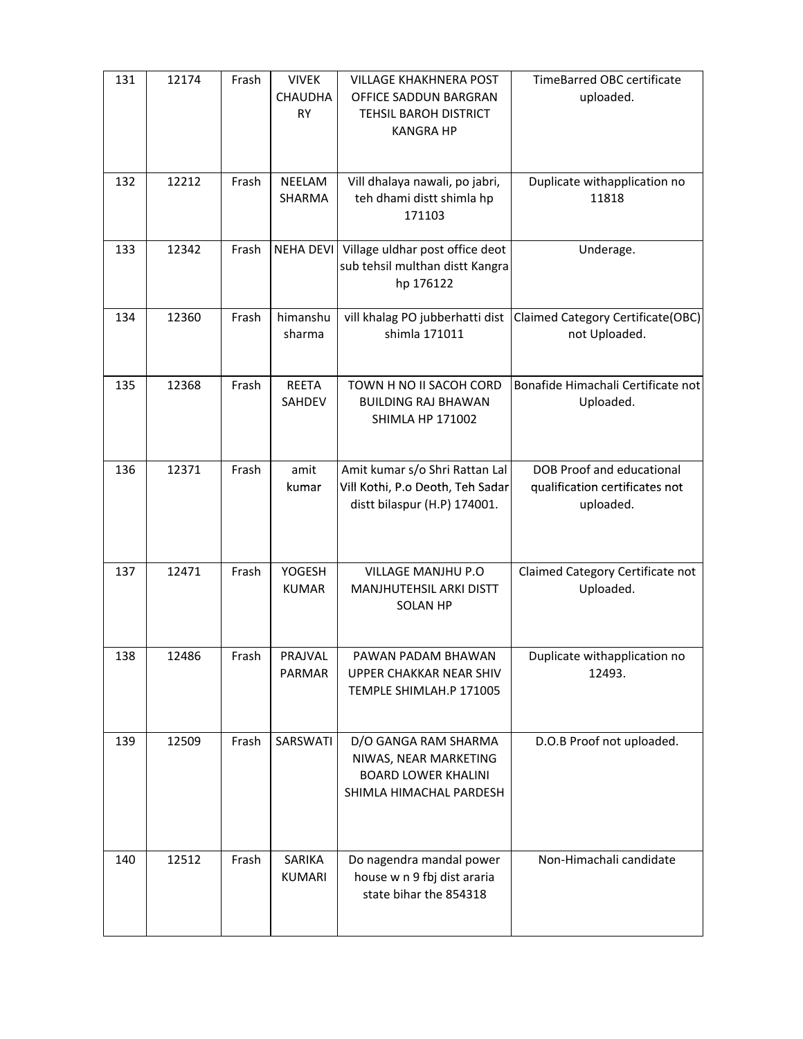| 131 | 12174 | Frash | <b>VIVEK</b>           | <b>VILLAGE KHAKHNERA POST</b>                         | <b>TimeBarred OBC certificate</b>                  |
|-----|-------|-------|------------------------|-------------------------------------------------------|----------------------------------------------------|
|     |       |       | <b>CHAUDHA</b><br>RY   | OFFICE SADDUN BARGRAN                                 | uploaded.                                          |
|     |       |       |                        | TEHSIL BAROH DISTRICT<br><b>KANGRA HP</b>             |                                                    |
|     |       |       |                        |                                                       |                                                    |
| 132 | 12212 | Frash | NEELAM                 | Vill dhalaya nawali, po jabri,                        | Duplicate withapplication no                       |
|     |       |       | SHARMA                 | teh dhami distt shimla hp                             | 11818                                              |
|     |       |       |                        | 171103                                                |                                                    |
| 133 | 12342 | Frash | <b>NEHA DEVI</b>       | Village uldhar post office deot                       | Underage.                                          |
|     |       |       |                        | sub tehsil multhan distt Kangra                       |                                                    |
|     |       |       |                        | hp 176122                                             |                                                    |
|     |       |       |                        |                                                       |                                                    |
| 134 | 12360 | Frash | himanshu<br>sharma     | vill khalag PO jubberhatti dist<br>shimla 171011      | Claimed Category Certificate(OBC)<br>not Uploaded. |
|     |       |       |                        |                                                       |                                                    |
|     |       |       |                        |                                                       |                                                    |
| 135 | 12368 | Frash | <b>REETA</b><br>SAHDEV | TOWN H NO II SACOH CORD<br><b>BUILDING RAJ BHAWAN</b> | Bonafide Himachali Certificate not<br>Uploaded.    |
|     |       |       |                        | <b>SHIMLA HP 171002</b>                               |                                                    |
|     |       |       |                        |                                                       |                                                    |
| 136 | 12371 | Frash | amit                   | Amit kumar s/o Shri Rattan Lal                        | <b>DOB Proof and educational</b>                   |
|     |       |       | kumar                  | Vill Kothi, P.o Deoth, Teh Sadar                      | qualification certificates not                     |
|     |       |       |                        | distt bilaspur (H.P) 174001.                          | uploaded.                                          |
|     |       |       |                        |                                                       |                                                    |
|     |       |       |                        |                                                       |                                                    |
| 137 | 12471 | Frash | <b>YOGESH</b>          | VILLAGE MANJHU P.O                                    | Claimed Category Certificate not                   |
|     |       |       | <b>KUMAR</b>           | MANJHUTEHSIL ARKI DISTT                               | Uploaded.                                          |
|     |       |       |                        | <b>SOLAN HP</b>                                       |                                                    |
|     |       |       |                        |                                                       |                                                    |
| 138 | 12486 | Frash | PRAJVAL                | PAWAN PADAM BHAWAN                                    | Duplicate withapplication no                       |
|     |       |       | PARMAR                 | UPPER CHAKKAR NEAR SHIV                               | 12493.                                             |
|     |       |       |                        | TEMPLE SHIMLAH.P 171005                               |                                                    |
|     |       |       |                        |                                                       |                                                    |
| 139 | 12509 | Frash | SARSWATI               | D/O GANGA RAM SHARMA                                  | D.O.B Proof not uploaded.                          |
|     |       |       |                        | NIWAS, NEAR MARKETING<br><b>BOARD LOWER KHALINI</b>   |                                                    |
|     |       |       |                        | SHIMLA HIMACHAL PARDESH                               |                                                    |
|     |       |       |                        |                                                       |                                                    |
|     |       |       |                        |                                                       |                                                    |
| 140 | 12512 | Frash | SARIKA                 | Do nagendra mandal power                              | Non-Himachali candidate                            |
|     |       |       | <b>KUMARI</b>          | house w n 9 fbj dist araria                           |                                                    |
|     |       |       |                        | state bihar the 854318                                |                                                    |
|     |       |       |                        |                                                       |                                                    |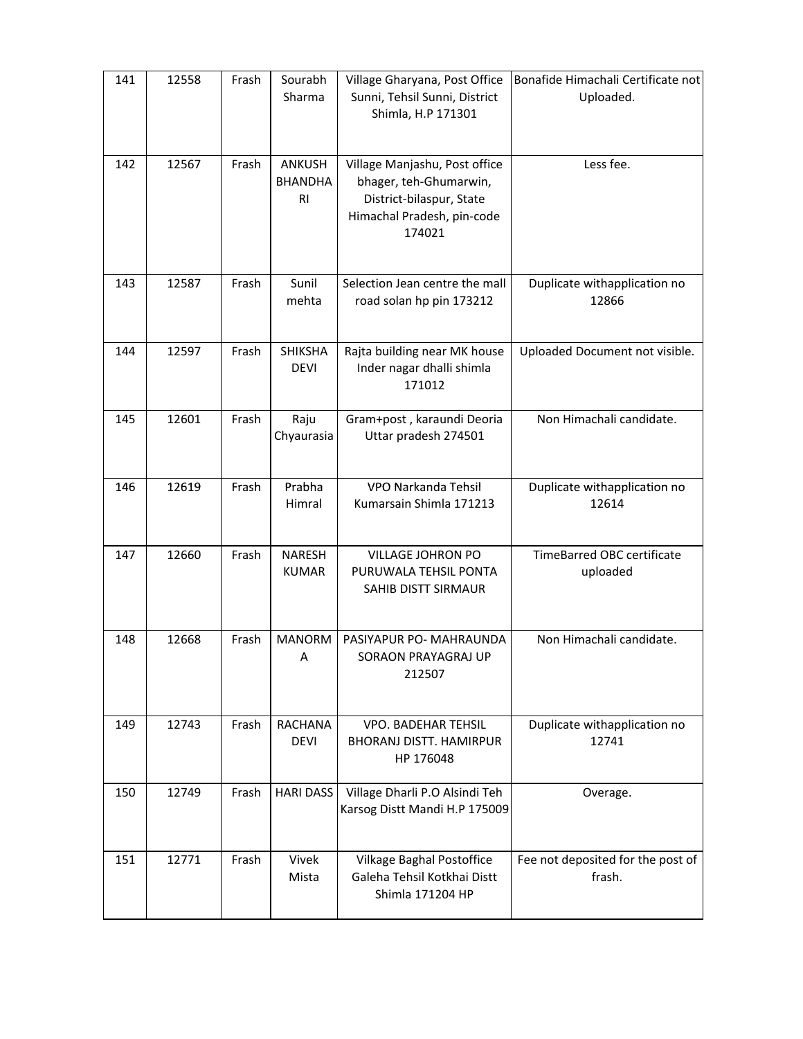| 141 | 12558 | Frash | Sourabh<br>Sharma                          | Village Gharyana, Post Office<br>Sunni, Tehsil Sunni, District<br>Shimla, H.P 171301                                        | Bonafide Himachali Certificate not<br>Uploaded. |
|-----|-------|-------|--------------------------------------------|-----------------------------------------------------------------------------------------------------------------------------|-------------------------------------------------|
| 142 | 12567 | Frash | ANKUSH<br><b>BHANDHA</b><br>R <sub>l</sub> | Village Manjashu, Post office<br>bhager, teh-Ghumarwin,<br>District-bilaspur, State<br>Himachal Pradesh, pin-code<br>174021 | Less fee.                                       |
| 143 | 12587 | Frash | Sunil<br>mehta                             | Selection Jean centre the mall<br>road solan hp pin 173212                                                                  | Duplicate withapplication no<br>12866           |
| 144 | 12597 | Frash | <b>SHIKSHA</b><br><b>DEVI</b>              | Rajta building near MK house<br>Inder nagar dhalli shimla<br>171012                                                         | Uploaded Document not visible.                  |
| 145 | 12601 | Frash | Raju<br>Chyaurasia                         | Gram+post, karaundi Deoria<br>Uttar pradesh 274501                                                                          | Non Himachali candidate.                        |
| 146 | 12619 | Frash | Prabha<br>Himral                           | VPO Narkanda Tehsil<br>Kumarsain Shimla 171213                                                                              | Duplicate withapplication no<br>12614           |
| 147 | 12660 | Frash | <b>NARESH</b><br><b>KUMAR</b>              | VILLAGE JOHRON PO<br>PURUWALA TEHSIL PONTA<br>SAHIB DISTT SIRMAUR                                                           | TimeBarred OBC certificate<br>uploaded          |
| 148 | 12668 | Frash | <b>MANORM</b><br>Α                         | PASIYAPUR PO- MAHRAUNDA<br>SORAON PRAYAGRAJ UP<br>212507                                                                    | Non Himachali candidate.                        |
| 149 | 12743 | Frash | <b>RACHANA</b><br><b>DEVI</b>              | <b>VPO. BADEHAR TEHSIL</b><br><b>BHORANJ DISTT. HAMIRPUR</b><br>HP 176048                                                   | Duplicate withapplication no<br>12741           |
| 150 | 12749 | Frash | <b>HARI DASS</b>                           | Village Dharli P.O Alsindi Teh<br>Karsog Distt Mandi H.P 175009                                                             | Overage.                                        |
| 151 | 12771 | Frash | Vivek<br>Mista                             | Vilkage Baghal Postoffice<br>Galeha Tehsil Kotkhai Distt<br>Shimla 171204 HP                                                | Fee not deposited for the post of<br>frash.     |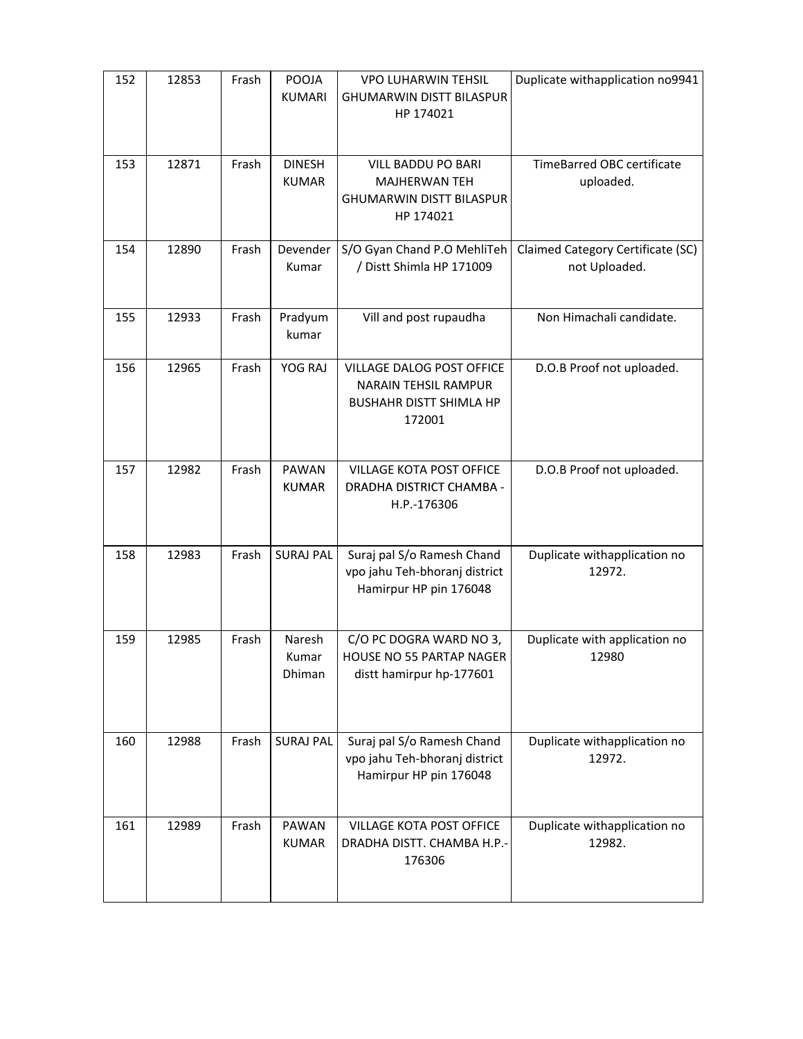| 152 | 12853 | Frash | POOJA<br><b>KUMARI</b>        | <b>VPO LUHARWIN TEHSIL</b><br><b>GHUMARWIN DISTT BILASPUR</b><br>HP 174021                           | Duplicate withapplication no9941                   |
|-----|-------|-------|-------------------------------|------------------------------------------------------------------------------------------------------|----------------------------------------------------|
| 153 | 12871 | Frash | <b>DINESH</b><br><b>KUMAR</b> | <b>VILL BADDU PO BARI</b><br><b>MAJHERWAN TEH</b><br><b>GHUMARWIN DISTT BILASPUR</b><br>HP 174021    | <b>TimeBarred OBC certificate</b><br>uploaded.     |
| 154 | 12890 | Frash | Devender<br>Kumar             | S/O Gyan Chand P.O MehliTeh<br>/ Distt Shimla HP 171009                                              | Claimed Category Certificate (SC)<br>not Uploaded. |
| 155 | 12933 | Frash | Pradyum<br>kumar              | Vill and post rupaudha                                                                               | Non Himachali candidate.                           |
| 156 | 12965 | Frash | YOG RAJ                       | VILLAGE DALOG POST OFFICE<br><b>NARAIN TEHSIL RAMPUR</b><br><b>BUSHAHR DISTT SHIMLA HP</b><br>172001 | D.O.B Proof not uploaded.                          |
| 157 | 12982 | Frash | PAWAN<br><b>KUMAR</b>         | VILLAGE KOTA POST OFFICE<br>DRADHA DISTRICT CHAMBA -<br>H.P.-176306                                  | D.O.B Proof not uploaded.                          |
| 158 | 12983 | Frash | <b>SURAJ PAL</b>              | Suraj pal S/o Ramesh Chand<br>vpo jahu Teh-bhoranj district<br>Hamirpur HP pin 176048                | Duplicate withapplication no<br>12972.             |
| 159 | 12985 | Frash | Naresh<br>Kumar<br>Dhiman     | C/O PC DOGRA WARD NO 3,<br>HOUSE NO 55 PARTAP NAGER<br>distt hamirpur hp-177601                      | Duplicate with application no<br>12980             |
| 160 | 12988 | Frash | <b>SURAJ PAL</b>              | Suraj pal S/o Ramesh Chand<br>vpo jahu Teh-bhoranj district<br>Hamirpur HP pin 176048                | Duplicate withapplication no<br>12972.             |
| 161 | 12989 | Frash | <b>PAWAN</b><br><b>KUMAR</b>  | <b>VILLAGE KOTA POST OFFICE</b><br>DRADHA DISTT. CHAMBA H.P.-<br>176306                              | Duplicate withapplication no<br>12982.             |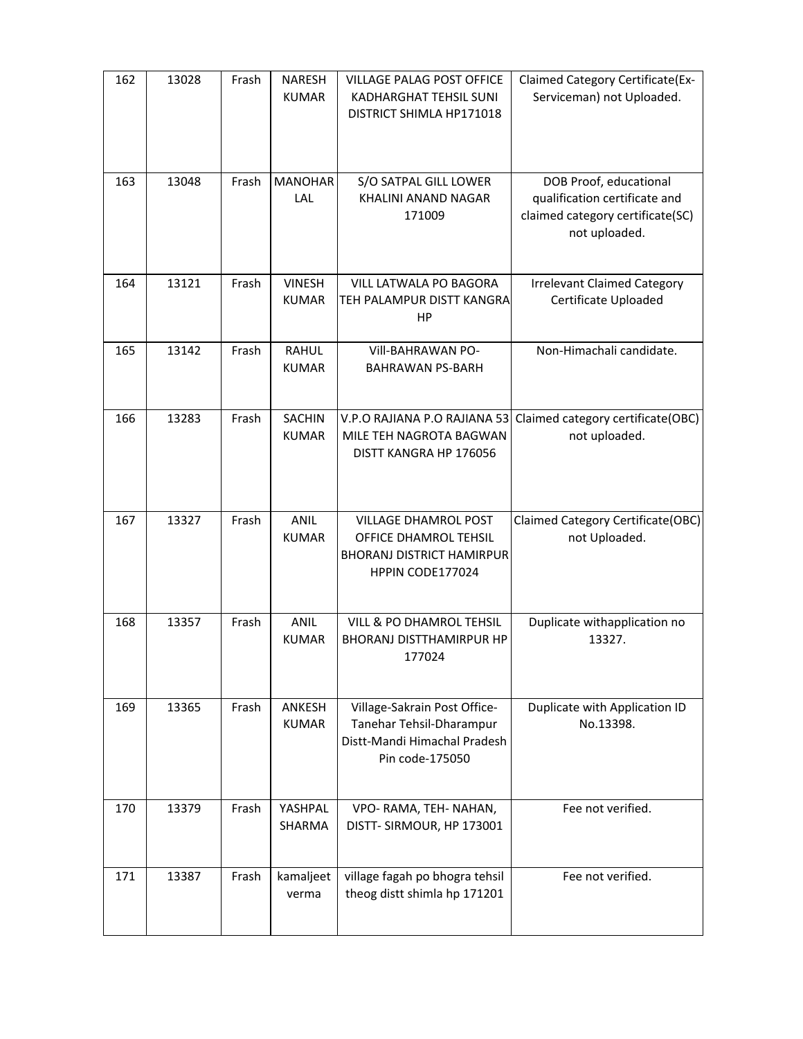| 162 | 13028 | Frash | <b>NARESH</b><br><b>KUMAR</b> | <b>VILLAGE PALAG POST OFFICE</b><br>KADHARGHAT TEHSIL SUNI<br>DISTRICT SHIMLA HP171018                       | Claimed Category Certificate(Ex-<br>Serviceman) not Uploaded.                                                |
|-----|-------|-------|-------------------------------|--------------------------------------------------------------------------------------------------------------|--------------------------------------------------------------------------------------------------------------|
| 163 | 13048 | Frash | <b>MANOHAR</b><br>LAL         | S/O SATPAL GILL LOWER<br>KHALINI ANAND NAGAR<br>171009                                                       | DOB Proof, educational<br>qualification certificate and<br>claimed category certificate(SC)<br>not uploaded. |
| 164 | 13121 | Frash | <b>VINESH</b><br><b>KUMAR</b> | VILL LATWALA PO BAGORA<br>TEH PALAMPUR DISTT KANGRA<br>HP                                                    | <b>Irrelevant Claimed Category</b><br>Certificate Uploaded                                                   |
| 165 | 13142 | Frash | <b>RAHUL</b><br><b>KUMAR</b>  | Vill-BAHRAWAN PO-<br><b>BAHRAWAN PS-BARH</b>                                                                 | Non-Himachali candidate.                                                                                     |
| 166 | 13283 | Frash | <b>SACHIN</b><br><b>KUMAR</b> | V.P.O RAJIANA P.O RAJIANA 53<br>MILE TEH NAGROTA BAGWAN<br>DISTT KANGRA HP 176056                            | Claimed category certificate(OBC)<br>not uploaded.                                                           |
| 167 | 13327 | Frash | <b>ANIL</b><br><b>KUMAR</b>   | <b>VILLAGE DHAMROL POST</b><br>OFFICE DHAMROL TEHSIL<br><b>BHORANJ DISTRICT HAMIRPUR</b><br>HPPIN CODE177024 | Claimed Category Certificate(OBC)<br>not Uploaded.                                                           |
| 168 | 13357 | Frash | <b>ANIL</b><br><b>KUMAR</b>   | VILL & PO DHAMROL TEHSIL<br><b>BHORANJ DISTTHAMIRPUR HP</b><br>177024                                        | Duplicate withapplication no<br>13327.                                                                       |
| 169 | 13365 | Frash | ANKESH<br><b>KUMAR</b>        | Village-Sakrain Post Office-<br>Tanehar Tehsil-Dharampur<br>Distt-Mandi Himachal Pradesh<br>Pin code-175050  | Duplicate with Application ID<br>No.13398.                                                                   |
| 170 | 13379 | Frash | YASHPAL<br>SHARMA             | VPO- RAMA, TEH- NAHAN,<br>DISTT- SIRMOUR, HP 173001                                                          | Fee not verified.                                                                                            |
| 171 | 13387 | Frash | kamaljeet<br>verma            | village fagah po bhogra tehsil<br>theog distt shimla hp 171201                                               | Fee not verified.                                                                                            |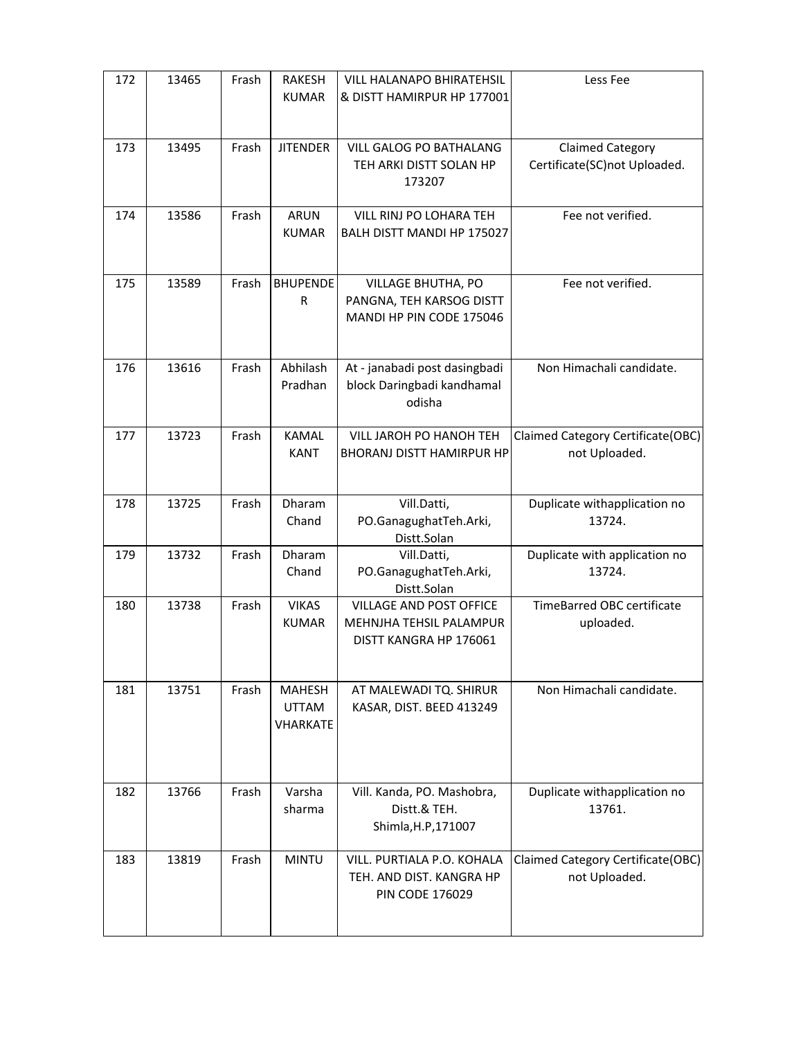| 172 | 13465 | Frash | <b>RAKESH</b><br><b>KUMAR</b>             | VILL HALANAPO BHIRATEHSIL<br>& DISTT HAMIRPUR HP 177001                          | Less Fee                                           |
|-----|-------|-------|-------------------------------------------|----------------------------------------------------------------------------------|----------------------------------------------------|
| 173 | 13495 | Frash | <b>JITENDER</b>                           | <b>VILL GALOG PO BATHALANG</b><br>TEH ARKI DISTT SOLAN HP<br>173207              | Claimed Category<br>Certificate(SC)not Uploaded.   |
| 174 | 13586 | Frash | <b>ARUN</b><br><b>KUMAR</b>               | VILL RINJ PO LOHARA TEH<br>BALH DISTT MANDI HP 175027                            | Fee not verified.                                  |
| 175 | 13589 | Frash | <b>BHUPENDE</b><br>R                      | VILLAGE BHUTHA, PO<br>PANGNA, TEH KARSOG DISTT<br>MANDI HP PIN CODE 175046       | Fee not verified.                                  |
| 176 | 13616 | Frash | Abhilash<br>Pradhan                       | At - janabadi post dasingbadi<br>block Daringbadi kandhamal<br>odisha            | Non Himachali candidate.                           |
| 177 | 13723 | Frash | <b>KAMAL</b><br><b>KANT</b>               | VILL JAROH PO HANOH TEH<br><b>BHORANJ DISTT HAMIRPUR HP</b>                      | Claimed Category Certificate(OBC)<br>not Uploaded. |
| 178 | 13725 | Frash | Dharam<br>Chand                           | Vill.Datti,<br>PO.GanagughatTeh.Arki,<br>Distt.Solan                             | Duplicate withapplication no<br>13724.             |
| 179 | 13732 | Frash | Dharam<br>Chand                           | Vill.Datti,<br>PO.GanagughatTeh.Arki,<br>Distt.Solan                             | Duplicate with application no<br>13724.            |
| 180 | 13738 | Frash | <b>VIKAS</b><br><b>KUMAR</b>              | VILLAGE AND POST OFFICE<br>MEHNJHA TEHSIL PALAMPUR<br>DISTT KANGRA HP 176061     | TimeBarred OBC certificate<br>uploaded.            |
| 181 | 13751 | Frash | <b>MAHESH</b><br>UTTAM<br><b>VHARKATE</b> | AT MALEWADI TQ. SHIRUR<br>KASAR, DIST. BEED 413249                               | Non Himachali candidate.                           |
| 182 | 13766 | Frash | Varsha<br>sharma                          | Vill. Kanda, PO. Mashobra,<br>Distt.& TEH.<br>Shimla, H.P, 171007                | Duplicate withapplication no<br>13761.             |
| 183 | 13819 | Frash | <b>MINTU</b>                              | VILL. PURTIALA P.O. KOHALA<br>TEH. AND DIST. KANGRA HP<br><b>PIN CODE 176029</b> | Claimed Category Certificate(OBC)<br>not Uploaded. |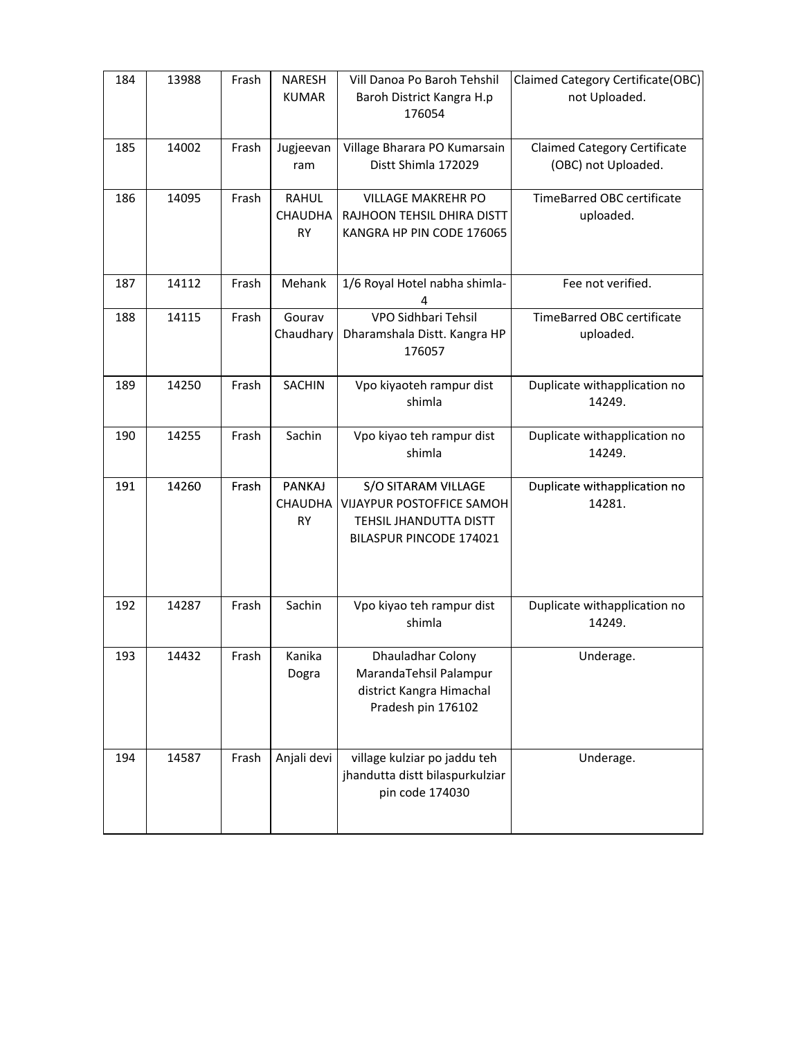| 184 | 13988 | Frash | <b>NARESH</b><br><b>KUMAR</b>  | Vill Danoa Po Baroh Tehshil<br>Baroh District Kangra H.p<br>176054                                    | Claimed Category Certificate(OBC)<br>not Uploaded.         |
|-----|-------|-------|--------------------------------|-------------------------------------------------------------------------------------------------------|------------------------------------------------------------|
| 185 | 14002 | Frash | Jugjeevan<br>ram               | Village Bharara PO Kumarsain<br>Distt Shimla 172029                                                   | <b>Claimed Category Certificate</b><br>(OBC) not Uploaded. |
| 186 | 14095 | Frash | <b>RAHUL</b><br>CHAUDHA<br>RY  | <b>VILLAGE MAKREHR PO</b><br>RAJHOON TEHSIL DHIRA DISTT<br>KANGRA HP PIN CODE 176065                  | TimeBarred OBC certificate<br>uploaded.                    |
| 187 | 14112 | Frash | Mehank                         | 1/6 Royal Hotel nabha shimla-<br>4                                                                    | Fee not verified.                                          |
| 188 | 14115 | Frash | Gourav<br>Chaudhary            | VPO Sidhbari Tehsil<br>Dharamshala Distt. Kangra HP<br>176057                                         | TimeBarred OBC certificate<br>uploaded.                    |
| 189 | 14250 | Frash | <b>SACHIN</b>                  | Vpo kiyaoteh rampur dist<br>shimla                                                                    | Duplicate withapplication no<br>14249.                     |
| 190 | 14255 | Frash | Sachin                         | Vpo kiyao teh rampur dist<br>shimla                                                                   | Duplicate withapplication no<br>14249.                     |
| 191 | 14260 | Frash | PANKAJ<br><b>CHAUDHA</b><br>RY | S/O SITARAM VILLAGE<br>VIJAYPUR POSTOFFICE SAMOH<br>TEHSIL JHANDUTTA DISTT<br>BILASPUR PINCODE 174021 | Duplicate withapplication no<br>14281.                     |
| 192 | 14287 | Frash | Sachin                         | Vpo kiyao teh rampur dist<br>shimla                                                                   | Duplicate withapplication no<br>14249.                     |
| 193 | 14432 | Frash | Kanika<br>Dogra                | Dhauladhar Colony<br>MarandaTehsil Palampur<br>district Kangra Himachal<br>Pradesh pin 176102         | Underage.                                                  |
| 194 | 14587 | Frash | Anjali devi                    | village kulziar po jaddu teh<br>jhandutta distt bilaspurkulziar<br>pin code 174030                    | Underage.                                                  |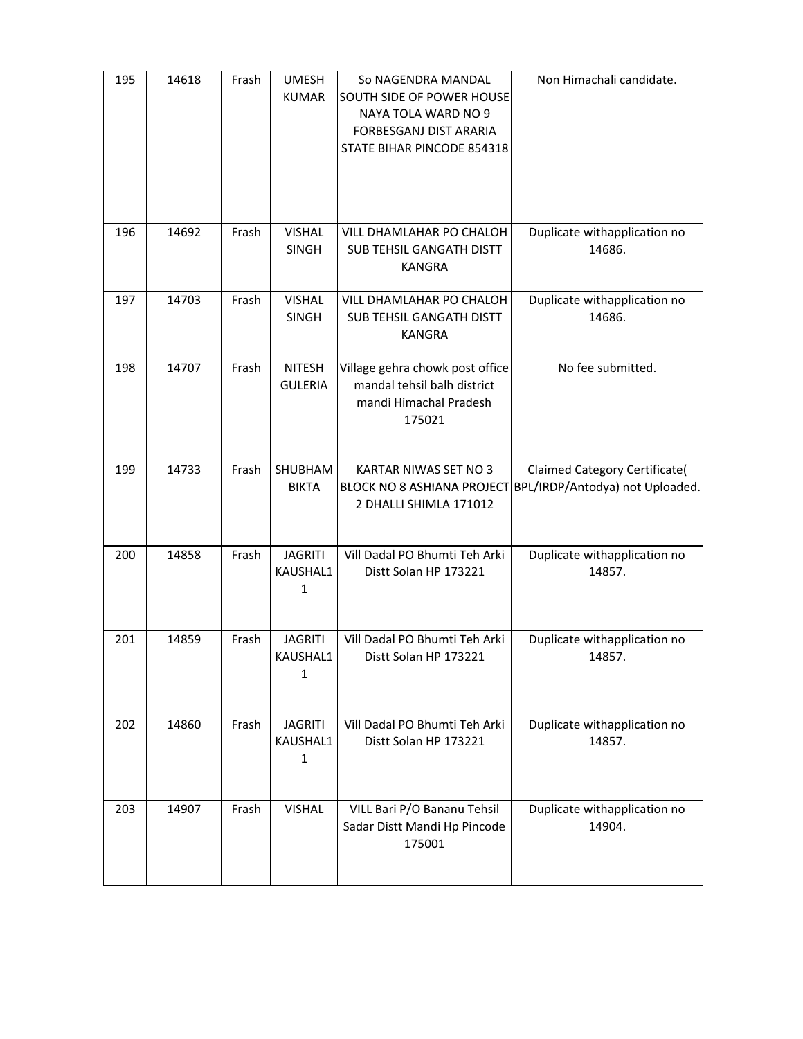| 195 | 14618 | Frash | <b>UMESH</b><br><b>KUMAR</b>               | So NAGENDRA MANDAL<br>SOUTH SIDE OF POWER HOUSE<br>NAYA TOLA WARD NO 9<br>FORBESGANJ DIST ARARIA<br>STATE BIHAR PINCODE 854318 | Non Himachali candidate.                                         |
|-----|-------|-------|--------------------------------------------|--------------------------------------------------------------------------------------------------------------------------------|------------------------------------------------------------------|
| 196 | 14692 | Frash | <b>VISHAL</b><br><b>SINGH</b>              | VILL DHAMLAHAR PO CHALOH<br>SUB TEHSIL GANGATH DISTT<br><b>KANGRA</b>                                                          | Duplicate withapplication no<br>14686.                           |
| 197 | 14703 | Frash | <b>VISHAL</b><br>SINGH                     | VILL DHAMLAHAR PO CHALOH<br>SUB TEHSIL GANGATH DISTT<br><b>KANGRA</b>                                                          | Duplicate withapplication no<br>14686.                           |
| 198 | 14707 | Frash | <b>NITESH</b><br><b>GULERIA</b>            | Village gehra chowk post office<br>mandal tehsil balh district<br>mandi Himachal Pradesh<br>175021                             | No fee submitted.                                                |
| 199 | 14733 | Frash | SHUBHAM<br><b>BIKTA</b>                    | KARTAR NIWAS SET NO 3<br>BLOCK NO 8 ASHIANA PROJECT<br>2 DHALLI SHIMLA 171012                                                  | Claimed Category Certificate(<br>BPL/IRDP/Antodya) not Uploaded. |
| 200 | 14858 | Frash | <b>JAGRITI</b><br>KAUSHAL1<br>1            | Vill Dadal PO Bhumti Teh Arki<br>Distt Solan HP 173221                                                                         | Duplicate withapplication no<br>14857.                           |
| 201 | 14859 | Frash | <b>JAGRITI</b><br>KAUSHAL1<br>1            | Vill Dadal PO Bhumti Teh Arki<br>Distt Solan HP 173221                                                                         | Duplicate withapplication no<br>14857.                           |
| 202 | 14860 | Frash | <b>JAGRITI</b><br>KAUSHAL1<br>$\mathbf{1}$ | Vill Dadal PO Bhumti Teh Arki<br>Distt Solan HP 173221                                                                         | Duplicate withapplication no<br>14857.                           |
| 203 | 14907 | Frash | <b>VISHAL</b>                              | VILL Bari P/O Bananu Tehsil<br>Sadar Distt Mandi Hp Pincode<br>175001                                                          | Duplicate withapplication no<br>14904.                           |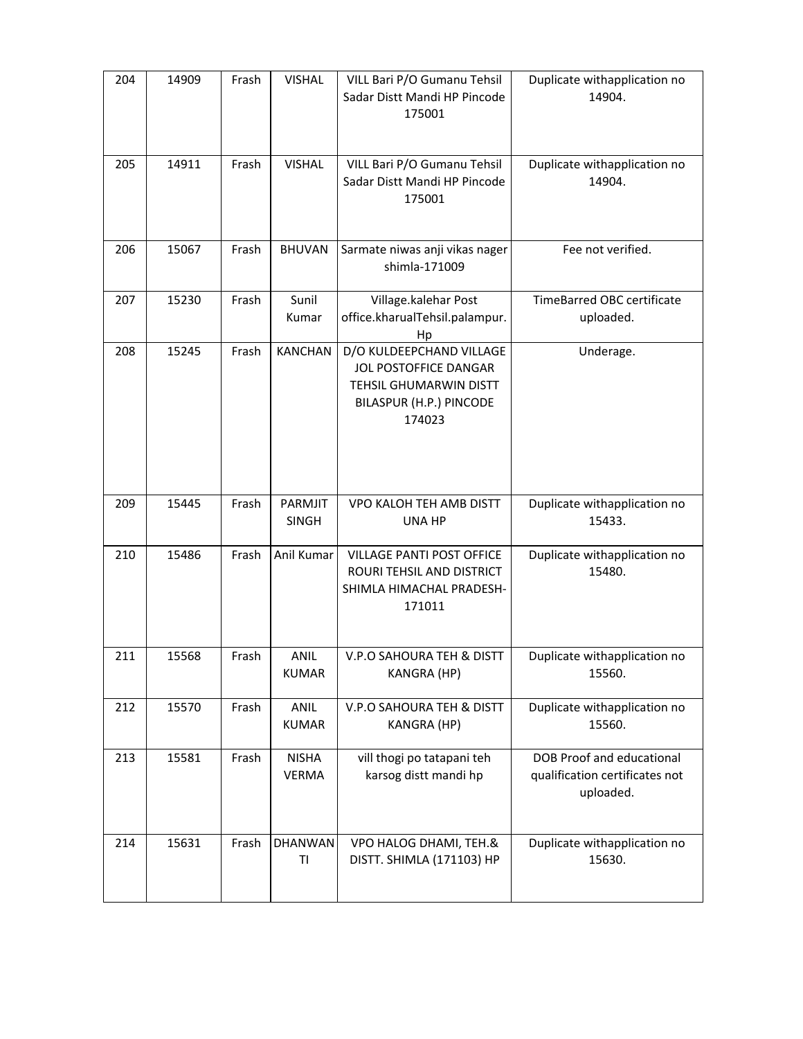| 204 | 14909 | Frash | <b>VISHAL</b>                | VILL Bari P/O Gumanu Tehsil<br>Sadar Distt Mandi HP Pincode<br>175001                                            | Duplicate withapplication no<br>14904.                                   |
|-----|-------|-------|------------------------------|------------------------------------------------------------------------------------------------------------------|--------------------------------------------------------------------------|
| 205 | 14911 | Frash | <b>VISHAL</b>                | VILL Bari P/O Gumanu Tehsil<br>Sadar Distt Mandi HP Pincode<br>175001                                            | Duplicate withapplication no<br>14904.                                   |
| 206 | 15067 | Frash | <b>BHUVAN</b>                | Sarmate niwas anji vikas nager<br>shimla-171009                                                                  | Fee not verified.                                                        |
| 207 | 15230 | Frash | Sunil<br>Kumar               | Village.kalehar Post<br>office.kharualTehsil.palampur.<br>Hp                                                     | TimeBarred OBC certificate<br>uploaded.                                  |
| 208 | 15245 | Frash | <b>KANCHAN</b>               | D/O KULDEEPCHAND VILLAGE<br>JOL POSTOFFICE DANGAR<br>TEHSIL GHUMARWIN DISTT<br>BILASPUR (H.P.) PINCODE<br>174023 | Underage.                                                                |
| 209 | 15445 | Frash | PARMJIT<br><b>SINGH</b>      | VPO KALOH TEH AMB DISTT<br>UNA HP                                                                                | Duplicate withapplication no<br>15433.                                   |
| 210 | 15486 | Frash | Anil Kumar                   | <b>VILLAGE PANTI POST OFFICE</b><br>ROURI TEHSIL AND DISTRICT<br>SHIMLA HIMACHAL PRADESH-<br>171011              | Duplicate withapplication no<br>15480.                                   |
| 211 | 15568 | Frash | ANIL<br><b>KUMAR</b>         | V.P.O SAHOURA TEH & DISTT<br><b>KANGRA (HP)</b>                                                                  | Duplicate withapplication no<br>15560.                                   |
| 212 | 15570 | Frash | <b>ANIL</b><br><b>KUMAR</b>  | V.P.O SAHOURA TEH & DISTT<br>KANGRA (HP)                                                                         | Duplicate withapplication no<br>15560.                                   |
| 213 | 15581 | Frash | <b>NISHA</b><br><b>VERMA</b> | vill thogi po tatapani teh<br>karsog distt mandi hp                                                              | DOB Proof and educational<br>qualification certificates not<br>uploaded. |
| 214 | 15631 | Frash | <b>DHANWAN</b><br>TI         | VPO HALOG DHAMI, TEH.&<br>DISTT. SHIMLA (171103) HP                                                              | Duplicate withapplication no<br>15630.                                   |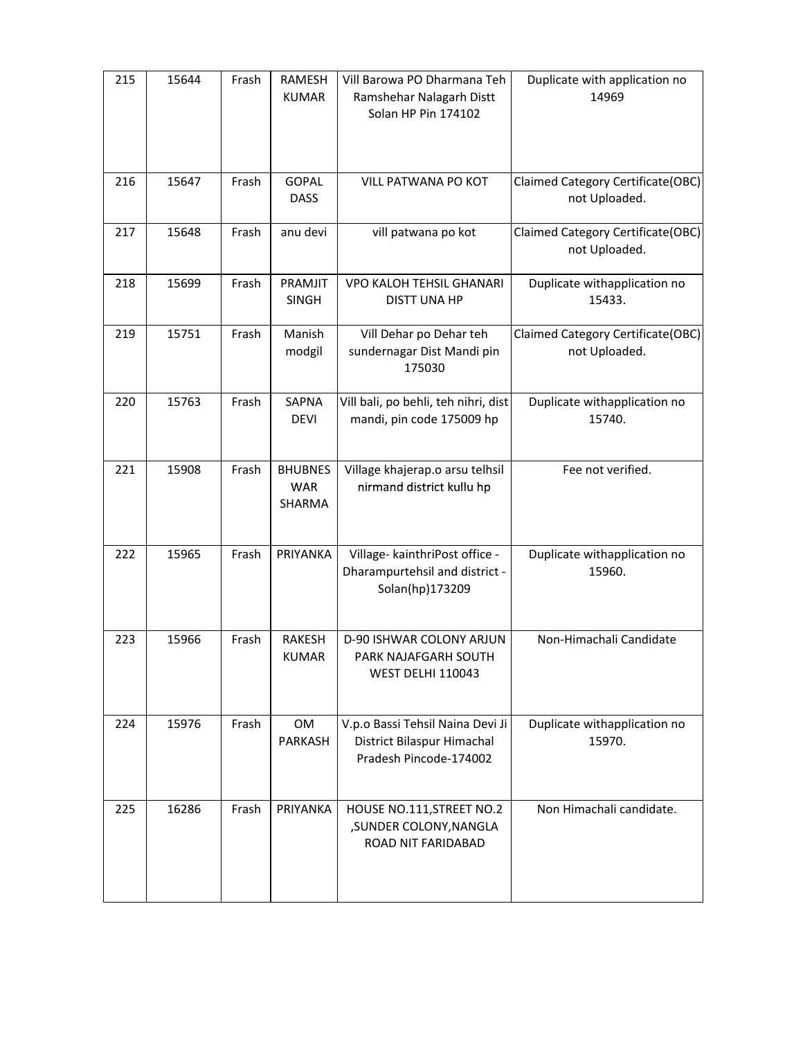| 215 | 15644 | Frash | RAMESH<br><b>KUMAR</b>                 | Vill Barowa PO Dharmana Teh<br>Ramshehar Nalagarh Distt<br>Solan HP Pin 174102           | Duplicate with application no<br>14969             |
|-----|-------|-------|----------------------------------------|------------------------------------------------------------------------------------------|----------------------------------------------------|
| 216 | 15647 | Frash | <b>GOPAL</b><br><b>DASS</b>            | VILL PATWANA PO KOT                                                                      | Claimed Category Certificate(OBC)<br>not Uploaded. |
| 217 | 15648 | Frash | anu devi                               | vill patwana po kot                                                                      | Claimed Category Certificate(OBC)<br>not Uploaded. |
| 218 | 15699 | Frash | PRAMJIT<br><b>SINGH</b>                | VPO KALOH TEHSIL GHANARI<br><b>DISTT UNA HP</b>                                          | Duplicate withapplication no<br>15433.             |
| 219 | 15751 | Frash | Manish<br>modgil                       | Vill Dehar po Dehar teh<br>sundernagar Dist Mandi pin<br>175030                          | Claimed Category Certificate(OBC)<br>not Uploaded. |
| 220 | 15763 | Frash | SAPNA<br><b>DEVI</b>                   | Vill bali, po behli, teh nihri, dist<br>mandi, pin code 175009 hp                        | Duplicate withapplication no<br>15740.             |
| 221 | 15908 | Frash | <b>BHUBNES</b><br><b>WAR</b><br>SHARMA | Village khajerap.o arsu telhsil<br>nirmand district kullu hp                             | Fee not verified.                                  |
| 222 | 15965 | Frash | PRIYANKA                               | Village- kainthriPost office -<br>Dharampurtehsil and district -<br>Solan(hp)173209      | Duplicate withapplication no<br>15960.             |
| 223 | 15966 | Frash | <b>RAKESH</b><br><b>KUMAR</b>          | D-90 ISHWAR COLONY ARJUN<br>PARK NAJAFGARH SOUTH<br><b>WEST DELHI 110043</b>             | Non-Himachali Candidate                            |
| 224 | 15976 | Frash | OM<br>PARKASH                          | V.p.o Bassi Tehsil Naina Devi Ji<br>District Bilaspur Himachal<br>Pradesh Pincode-174002 | Duplicate withapplication no<br>15970.             |
| 225 | 16286 | Frash | PRIYANKA                               | HOUSE NO.111, STREET NO.2<br>, SUNDER COLONY, NANGLA<br>ROAD NIT FARIDABAD               | Non Himachali candidate.                           |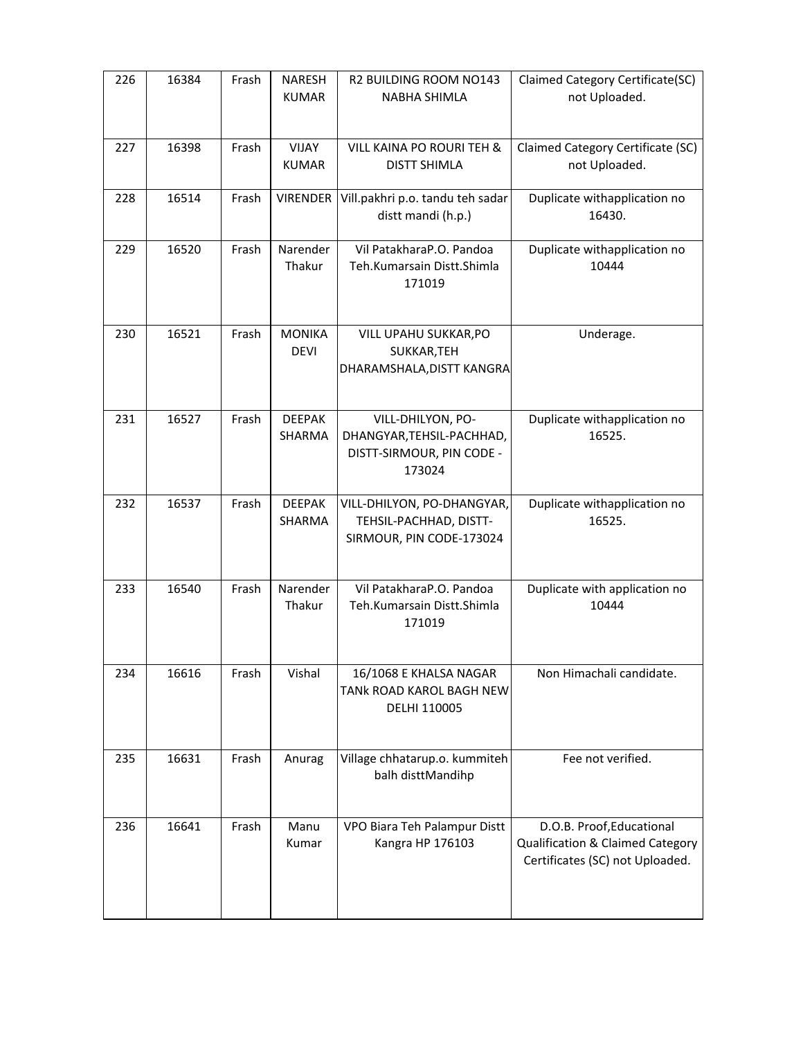| 226 | 16384 | Frash | <b>NARESH</b><br><b>KUMAR</b> | R2 BUILDING ROOM NO143<br>NABHA SHIMLA                                                | Claimed Category Certificate(SC)<br>not Uploaded.                                                |
|-----|-------|-------|-------------------------------|---------------------------------------------------------------------------------------|--------------------------------------------------------------------------------------------------|
|     |       |       |                               |                                                                                       |                                                                                                  |
| 227 | 16398 | Frash | <b>VIJAY</b><br><b>KUMAR</b>  | VILL KAINA PO ROURI TEH &<br><b>DISTT SHIMLA</b>                                      | Claimed Category Certificate (SC)<br>not Uploaded.                                               |
| 228 | 16514 | Frash | <b>VIRENDER</b>               | Vill.pakhri p.o. tandu teh sadar<br>distt mandi (h.p.)                                | Duplicate withapplication no<br>16430.                                                           |
| 229 | 16520 | Frash | Narender<br>Thakur            | Vil PatakharaP.O. Pandoa<br>Teh.Kumarsain Distt.Shimla<br>171019                      | Duplicate withapplication no<br>10444                                                            |
| 230 | 16521 | Frash | <b>MONIKA</b><br><b>DEVI</b>  | VILL UPAHU SUKKAR, PO<br>SUKKAR, TEH<br>DHARAMSHALA, DISTT KANGRA                     | Underage.                                                                                        |
| 231 | 16527 | Frash | <b>DEEPAK</b><br>SHARMA       | VILL-DHILYON, PO-<br>DHANGYAR, TEHSIL-PACHHAD,<br>DISTT-SIRMOUR, PIN CODE -<br>173024 | Duplicate withapplication no<br>16525.                                                           |
| 232 | 16537 | Frash | <b>DEEPAK</b><br>SHARMA       | VILL-DHILYON, PO-DHANGYAR,<br>TEHSIL-PACHHAD, DISTT-<br>SIRMOUR, PIN CODE-173024      | Duplicate withapplication no<br>16525.                                                           |
| 233 | 16540 | Frash | Narender<br>Thakur            | Vil PatakharaP.O. Pandoa<br>Teh.Kumarsain Distt.Shimla<br>171019                      | Duplicate with application no<br>10444                                                           |
| 234 | 16616 | Frash | Vishal                        | 16/1068 E KHALSA NAGAR<br><b>TANK ROAD KAROL BAGH NEW</b><br>DELHI 110005             | Non Himachali candidate.                                                                         |
| 235 | 16631 | Frash | Anurag                        | Village chhatarup.o. kummiteh<br>balh disttMandihp                                    | Fee not verified.                                                                                |
| 236 | 16641 | Frash | Manu<br>Kumar                 | VPO Biara Teh Palampur Distt<br>Kangra HP 176103                                      | D.O.B. Proof, Educational<br>Qualification & Claimed Category<br>Certificates (SC) not Uploaded. |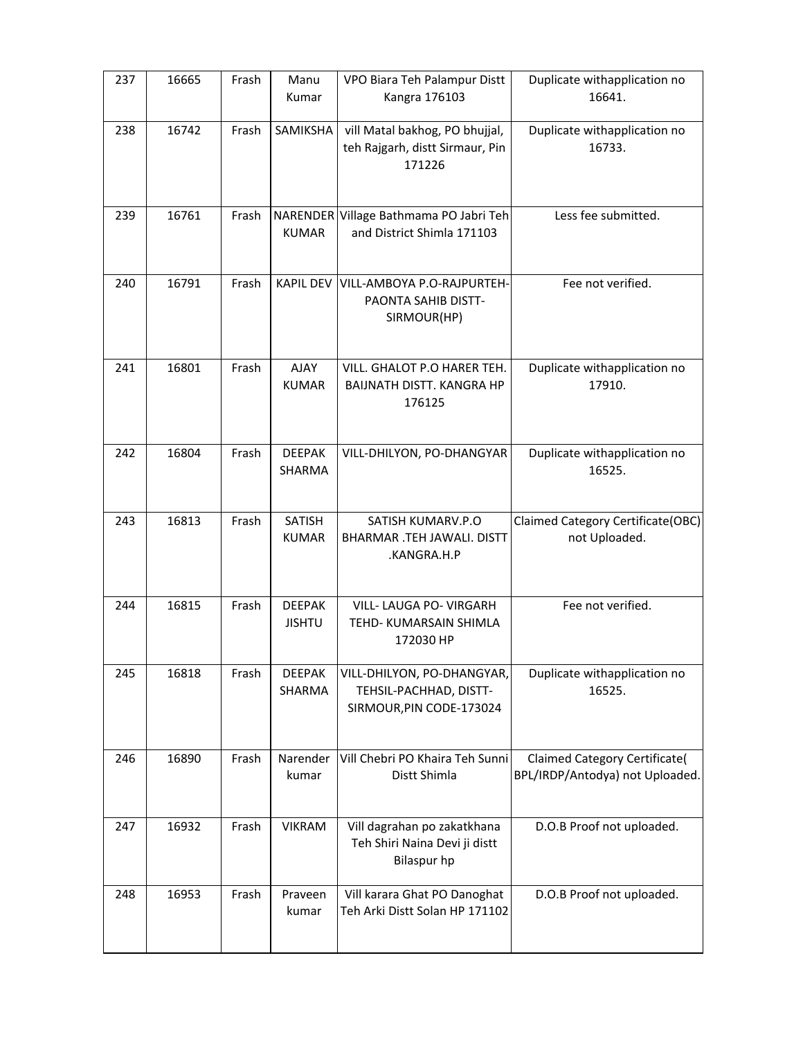| 237 | 16665 | Frash | Manu<br>Kumar                  | VPO Biara Teh Palampur Distt<br>Kangra 176103                                      | Duplicate withapplication no<br>16641.                                  |
|-----|-------|-------|--------------------------------|------------------------------------------------------------------------------------|-------------------------------------------------------------------------|
| 238 | 16742 | Frash | SAMIKSHA                       | vill Matal bakhog, PO bhujjal,<br>teh Rajgarh, distt Sirmaur, Pin<br>171226        | Duplicate withapplication no<br>16733.                                  |
| 239 | 16761 | Frash | <b>KUMAR</b>                   | NARENDER Village Bathmama PO Jabri Teh<br>and District Shimla 171103               | Less fee submitted.                                                     |
| 240 | 16791 | Frash | <b>KAPIL DEV</b>               | VILL-AMBOYA P.O-RAJPURTEH-<br>PAONTA SAHIB DISTT-<br>SIRMOUR(HP)                   | Fee not verified.                                                       |
| 241 | 16801 | Frash | <b>AJAY</b><br><b>KUMAR</b>    | VILL. GHALOT P.O HARER TEH.<br>BAIJNATH DISTT. KANGRA HP<br>176125                 | Duplicate withapplication no<br>17910.                                  |
| 242 | 16804 | Frash | <b>DEEPAK</b><br>SHARMA        | VILL-DHILYON, PO-DHANGYAR                                                          | Duplicate withapplication no<br>16525.                                  |
| 243 | 16813 | Frash | SATISH                         | SATISH KUMARV.P.O                                                                  | Claimed Category Certificate(OBC)                                       |
|     |       |       | <b>KUMAR</b>                   | BHARMAR .TEH JAWALI. DISTT<br>.KANGRA.H.P                                          | not Uploaded.                                                           |
| 244 | 16815 | Frash | <b>DEEPAK</b><br><b>JISHTU</b> | VILL- LAUGA PO- VIRGARH<br>TEHD- KUMARSAIN SHIMLA<br>172030 HP                     | Fee not verified.                                                       |
| 245 | 16818 | Frash | <b>DEEPAK</b><br>SHARMA        | VILL-DHILYON, PO-DHANGYAR,<br>TEHSIL-PACHHAD, DISTT-<br>SIRMOUR, PIN CODE-173024   | Duplicate withapplication no<br>16525.                                  |
| 246 | 16890 | Frash | Narender<br>kumar              | Vill Chebri PO Khaira Teh Sunni<br>Distt Shimla                                    | <b>Claimed Category Certificate(</b><br>BPL/IRDP/Antodya) not Uploaded. |
| 247 | 16932 | Frash | <b>VIKRAM</b>                  | Vill dagrahan po zakatkhana<br>Teh Shiri Naina Devi ji distt<br><b>Bilaspur</b> hp | D.O.B Proof not uploaded.                                               |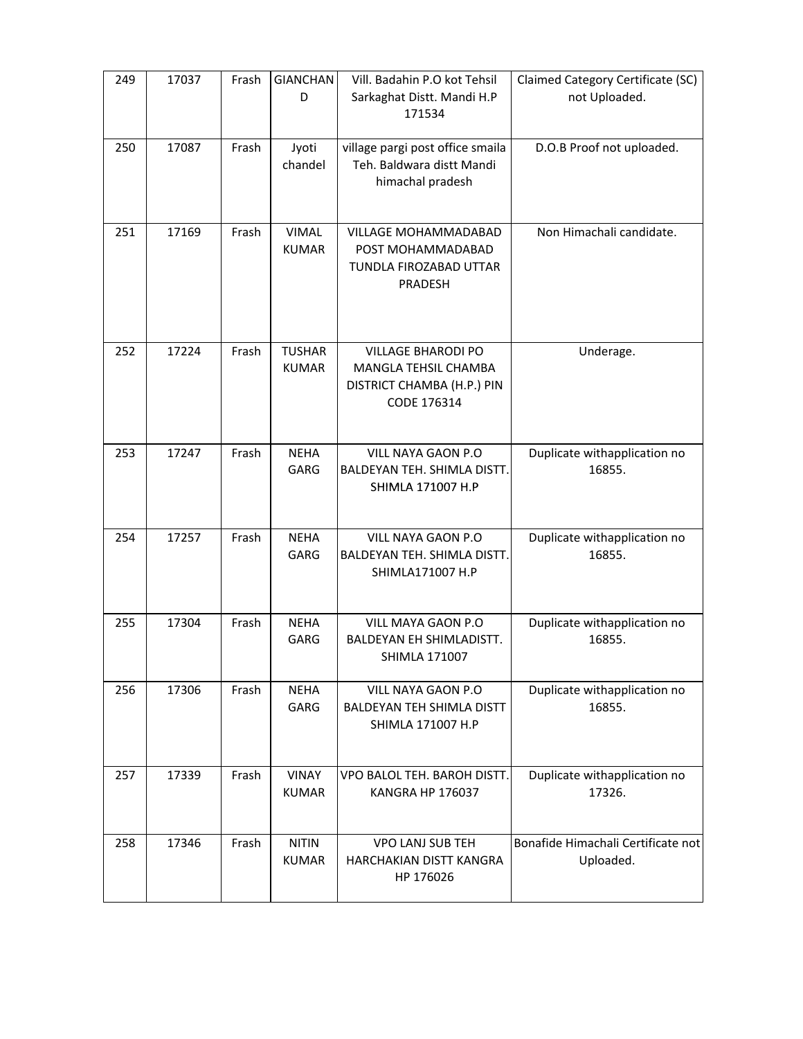| 249 | 17037 | Frash | <b>GIANCHAN</b><br>D          | Vill. Badahin P.O kot Tehsil<br>Sarkaghat Distt. Mandi H.P                                     | Claimed Category Certificate (SC)<br>not Uploaded. |
|-----|-------|-------|-------------------------------|------------------------------------------------------------------------------------------------|----------------------------------------------------|
|     |       |       |                               | 171534                                                                                         |                                                    |
| 250 | 17087 | Frash | Jyoti<br>chandel              | village pargi post office smaila<br>Teh. Baldwara distt Mandi<br>himachal pradesh              | D.O.B Proof not uploaded.                          |
| 251 | 17169 | Frash | <b>VIMAL</b><br><b>KUMAR</b>  | VILLAGE MOHAMMADABAD<br>POST MOHAMMADABAD<br>TUNDLA FIROZABAD UTTAR<br>PRADESH                 | Non Himachali candidate.                           |
| 252 | 17224 | Frash | <b>TUSHAR</b><br><b>KUMAR</b> | <b>VILLAGE BHARODI PO</b><br>MANGLA TEHSIL CHAMBA<br>DISTRICT CHAMBA (H.P.) PIN<br>CODE 176314 | Underage.                                          |
| 253 | 17247 | Frash | <b>NEHA</b><br><b>GARG</b>    | VILL NAYA GAON P.O<br>BALDEYAN TEH. SHIMLA DISTT.<br>SHIMLA 171007 H.P                         | Duplicate withapplication no<br>16855.             |
| 254 | 17257 | Frash | <b>NEHA</b><br>GARG           | VILL NAYA GAON P.O<br>BALDEYAN TEH. SHIMLA DISTT.<br>SHIMLA171007 H.P                          | Duplicate withapplication no<br>16855.             |
| 255 | 17304 | Frash | <b>NEHA</b><br>GARG           | VILL MAYA GAON P.O<br>BALDEYAN EH SHIMLADISTT.<br>SHIMLA 171007                                | Duplicate withapplication no<br>16855.             |
| 256 | 17306 | Frash | <b>NEHA</b><br>GARG           | <b>VILL NAYA GAON P.O</b><br><b>BALDEYAN TEH SHIMLA DISTT</b><br>SHIMLA 171007 H.P             | Duplicate withapplication no<br>16855.             |
| 257 | 17339 | Frash | <b>VINAY</b><br><b>KUMAR</b>  | VPO BALOL TEH. BAROH DISTT.<br>KANGRA HP 176037                                                | Duplicate withapplication no<br>17326.             |
| 258 | 17346 | Frash | <b>NITIN</b><br><b>KUMAR</b>  | VPO LANJ SUB TEH<br>HARCHAKIAN DISTT KANGRA<br>HP 176026                                       | Bonafide Himachali Certificate not<br>Uploaded.    |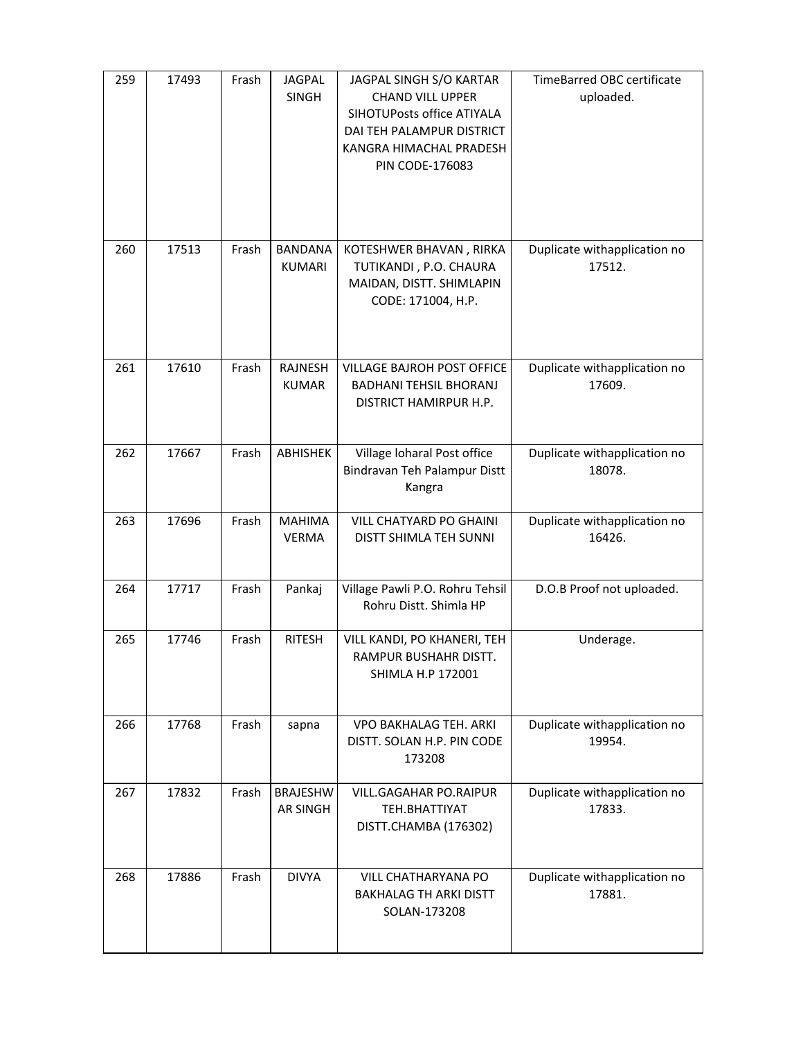| 259 | 17493 | Frash | <b>JAGPAL</b><br><b>SINGH</b>   | JAGPAL SINGH S/O KARTAR<br><b>CHAND VILL UPPER</b><br>SIHOTUPosts office ATIYALA<br>DAI TEH PALAMPUR DISTRICT<br>KANGRA HIMACHAL PRADESH<br><b>PIN CODE-176083</b> | TimeBarred OBC certificate<br>uploaded. |
|-----|-------|-------|---------------------------------|--------------------------------------------------------------------------------------------------------------------------------------------------------------------|-----------------------------------------|
| 260 | 17513 | Frash | <b>BANDANA</b><br><b>KUMARI</b> | KOTESHWER BHAVAN, RIRKA<br>TUTIKANDI, P.O. CHAURA<br>MAIDAN, DISTT. SHIMLAPIN<br>CODE: 171004, H.P.                                                                | Duplicate withapplication no<br>17512.  |
| 261 | 17610 | Frash | RAJNESH<br><b>KUMAR</b>         | VILLAGE BAJROH POST OFFICE<br><b>BADHANI TEHSIL BHORANJ</b><br>DISTRICT HAMIRPUR H.P.                                                                              | Duplicate withapplication no<br>17609.  |
| 262 | 17667 | Frash | ABHISHEK                        | Village Ioharal Post office<br>Bindravan Teh Palampur Distt<br>Kangra                                                                                              | Duplicate withapplication no<br>18078.  |
| 263 | 17696 | Frash | <b>MAHIMA</b><br><b>VERMA</b>   | VILL CHATYARD PO GHAINI<br>DISTT SHIMLA TEH SUNNI                                                                                                                  | Duplicate withapplication no<br>16426.  |
| 264 | 17717 | Frash | Pankaj                          | Village Pawli P.O. Rohru Tehsil<br>Rohru Distt. Shimla HP                                                                                                          | D.O.B Proof not uploaded.               |
| 265 | 17746 | Frash | <b>RITESH</b>                   | VILL KANDI, PO KHANERI, TEH<br><b>RAMPUR BUSHAHR DISTT.</b><br>SHIMLA H.P 172001                                                                                   | Underage.                               |
| 266 | 17768 | Frash | sapna                           | VPO BAKHALAG TEH. ARKI<br>DISTT. SOLAN H.P. PIN CODE<br>173208                                                                                                     | Duplicate withapplication no<br>19954.  |
| 267 | 17832 | Frash | <b>BRAJESHW</b><br>AR SINGH     | <b>VILL.GAGAHAR PO.RAIPUR</b><br>TEH.BHATTIYAT<br>DISTT.CHAMBA (176302)                                                                                            | Duplicate withapplication no<br>17833.  |
| 268 | 17886 | Frash | <b>DIVYA</b>                    | <b>VILL CHATHARYANA PO</b><br><b>BAKHALAG TH ARKI DISTT</b><br>SOLAN-173208                                                                                        | Duplicate withapplication no<br>17881.  |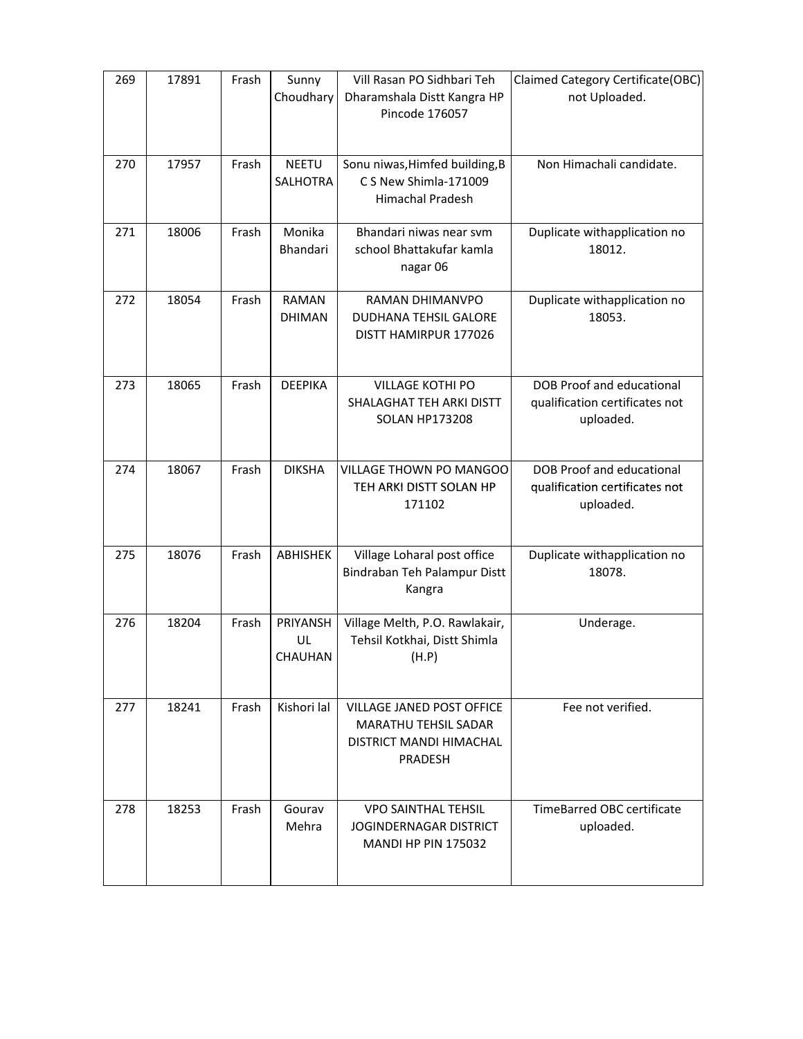| 269 | 17891 | Frash | Sunny                         | Vill Rasan PO Sidhbari Teh                                                                            | Claimed Category Certificate(OBC)                                        |
|-----|-------|-------|-------------------------------|-------------------------------------------------------------------------------------------------------|--------------------------------------------------------------------------|
|     |       |       | Choudhary                     | Dharamshala Distt Kangra HP<br>Pincode 176057                                                         | not Uploaded.                                                            |
| 270 | 17957 | Frash | <b>NEETU</b><br>SALHOTRA      | Sonu niwas, Himfed building, B<br>C S New Shimla-171009<br>Himachal Pradesh                           | Non Himachali candidate.                                                 |
| 271 | 18006 | Frash | Monika<br>Bhandari            | Bhandari niwas near svm<br>school Bhattakufar kamla<br>nagar 06                                       | Duplicate withapplication no<br>18012.                                   |
| 272 | 18054 | Frash | <b>RAMAN</b><br><b>DHIMAN</b> | RAMAN DHIMANVPO<br>DUDHANA TEHSIL GALORE<br>DISTT HAMIRPUR 177026                                     | Duplicate withapplication no<br>18053.                                   |
| 273 | 18065 | Frash | <b>DEEPIKA</b>                | <b>VILLAGE KOTHI PO</b><br>SHALAGHAT TEH ARKI DISTT<br><b>SOLAN HP173208</b>                          | DOB Proof and educational<br>qualification certificates not<br>uploaded. |
| 274 | 18067 | Frash | <b>DIKSHA</b>                 | VILLAGE THOWN PO MANGOO<br>TEH ARKI DISTT SOLAN HP<br>171102                                          | DOB Proof and educational<br>qualification certificates not<br>uploaded. |
| 275 | 18076 | Frash | <b>ABHISHEK</b>               | Village Loharal post office<br>Bindraban Teh Palampur Distt<br>Kangra                                 | Duplicate withapplication no<br>18078.                                   |
| 276 | 18204 | Frash | PRIYANSH<br>UL<br>CHAUHAN     | Village Melth, P.O. Rawlakair,<br>Tehsil Kotkhai, Distt Shimla<br>(H.P)                               | Underage.                                                                |
| 277 | 18241 | Frash | Kishori lal                   | <b>VILLAGE JANED POST OFFICE</b><br>MARATHU TEHSIL SADAR<br>DISTRICT MANDI HIMACHAL<br><b>PRADESH</b> | Fee not verified.                                                        |
| 278 | 18253 | Frash | Gourav<br>Mehra               | <b>VPO SAINTHAL TEHSIL</b><br><b>JOGINDERNAGAR DISTRICT</b><br><b>MANDI HP PIN 175032</b>             | TimeBarred OBC certificate<br>uploaded.                                  |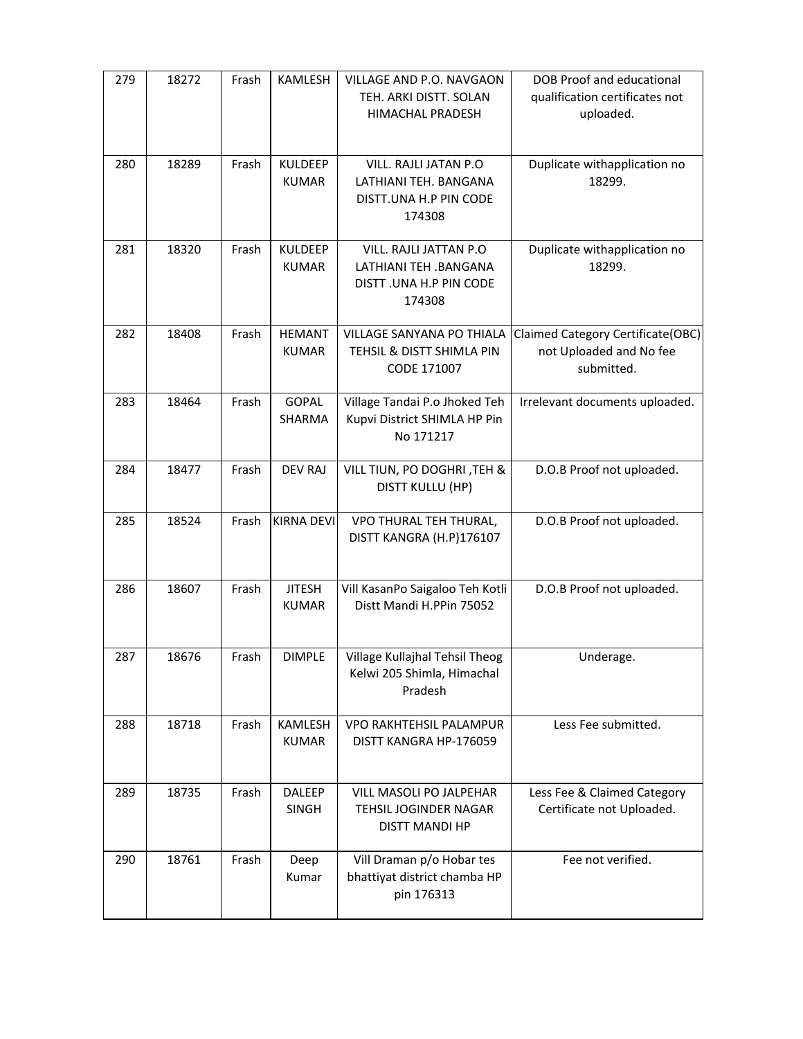| 279 | 18272 | Frash | KAMLESH                        | VILLAGE AND P.O. NAVGAON<br>TEH. ARKI DISTT. SOLAN<br>HIMACHAL PRADESH               | <b>DOB Proof and educational</b><br>qualification certificates not<br>uploaded. |
|-----|-------|-------|--------------------------------|--------------------------------------------------------------------------------------|---------------------------------------------------------------------------------|
| 280 | 18289 | Frash | <b>KULDEEP</b><br><b>KUMAR</b> | VILL. RAJLI JATAN P.O<br>LATHIANI TEH. BANGANA<br>DISTT.UNA H.P PIN CODE<br>174308   | Duplicate withapplication no<br>18299.                                          |
| 281 | 18320 | Frash | <b>KULDEEP</b><br><b>KUMAR</b> | VILL. RAJLI JATTAN P.O<br>LATHIANI TEH .BANGANA<br>DISTT .UNA H.P PIN CODE<br>174308 | Duplicate withapplication no<br>18299.                                          |
| 282 | 18408 | Frash | <b>HEMANT</b><br><b>KUMAR</b>  | <b>VILLAGE SANYANA PO THIALA</b><br>TEHSIL & DISTT SHIMLA PIN<br>CODE 171007         | Claimed Category Certificate(OBC)<br>not Uploaded and No fee<br>submitted.      |
| 283 | 18464 | Frash | <b>GOPAL</b><br>SHARMA         | Village Tandai P.o Jhoked Teh<br>Kupvi District SHIMLA HP Pin<br>No 171217           | Irrelevant documents uploaded.                                                  |
| 284 | 18477 | Frash | <b>DEV RAJ</b>                 | VILL TIUN, PO DOGHRI, TEH &<br>DISTT KULLU (HP)                                      | D.O.B Proof not uploaded.                                                       |
| 285 | 18524 | Frash | <b>KIRNA DEVI</b>              | VPO THURAL TEH THURAL,<br>DISTT KANGRA (H.P)176107                                   | D.O.B Proof not uploaded.                                                       |
| 286 | 18607 | Frash | <b>JITESH</b><br><b>KUMAR</b>  | Vill KasanPo Saigaloo Teh Kotli<br>Distt Mandi H.PPin 75052                          | D.O.B Proof not uploaded.                                                       |
| 287 | 18676 | Frash | <b>DIMPLE</b>                  | Village Kullajhal Tehsil Theog<br>Kelwi 205 Shimla, Himachal<br>Pradesh              | Underage.                                                                       |
| 288 | 18718 | Frash | KAMLESH<br><b>KUMAR</b>        | VPO RAKHTEHSIL PALAMPUR<br>DISTT KANGRA HP-176059                                    | Less Fee submitted.                                                             |
| 289 | 18735 | Frash | <b>DALEEP</b><br>SINGH         | VILL MASOLI PO JALPEHAR<br>TEHSIL JOGINDER NAGAR<br>DISTT MANDI HP                   | Less Fee & Claimed Category<br>Certificate not Uploaded.                        |
| 290 | 18761 | Frash | Deep<br>Kumar                  | Vill Draman p/o Hobar tes<br>bhattiyat district chamba HP<br>pin 176313              | Fee not verified.                                                               |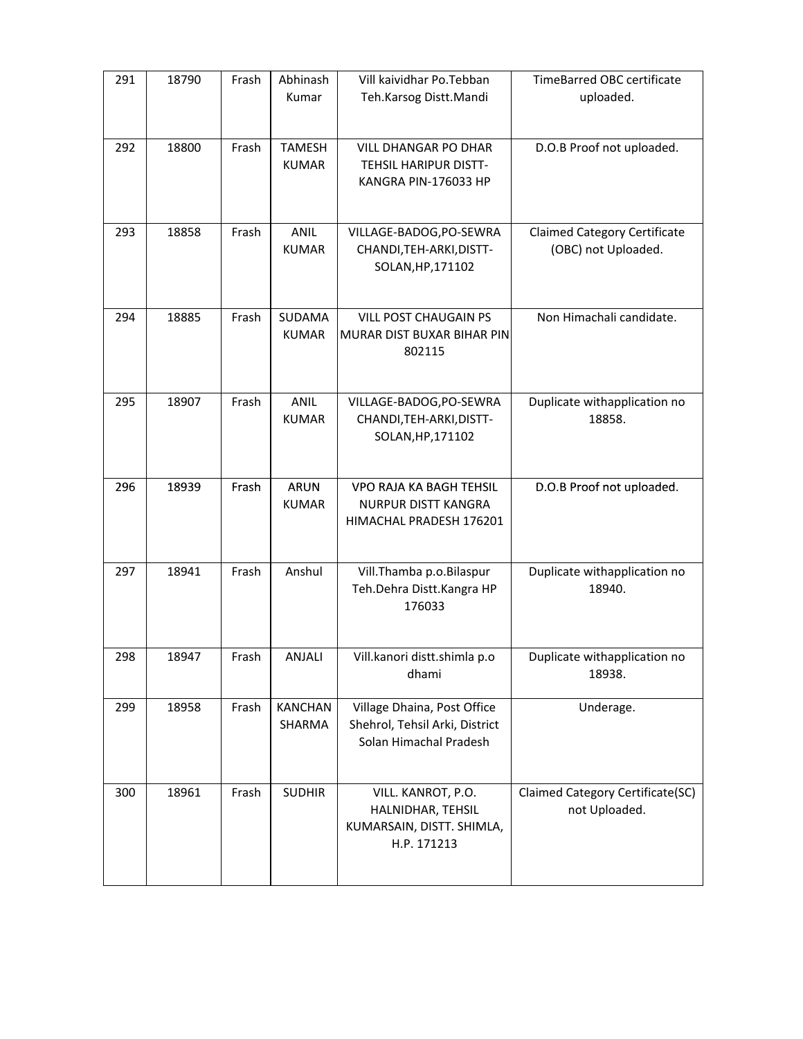| 291 | 18790 | Frash | Abhinash<br>Kumar             | Vill kaividhar Po.Tebban<br>Teh.Karsog Distt.Mandi                                      | <b>TimeBarred OBC certificate</b><br>uploaded.             |
|-----|-------|-------|-------------------------------|-----------------------------------------------------------------------------------------|------------------------------------------------------------|
| 292 | 18800 | Frash | <b>TAMESH</b><br><b>KUMAR</b> | <b>VILL DHANGAR PO DHAR</b><br>TEHSIL HARIPUR DISTT-<br>KANGRA PIN-176033 HP            | D.O.B Proof not uploaded.                                  |
| 293 | 18858 | Frash | <b>ANIL</b><br><b>KUMAR</b>   | VILLAGE-BADOG, PO-SEWRA<br>CHANDI, TEH-ARKI, DISTT-<br>SOLAN, HP, 171102                | <b>Claimed Category Certificate</b><br>(OBC) not Uploaded. |
| 294 | 18885 | Frash | SUDAMA<br><b>KUMAR</b>        | <b>VILL POST CHAUGAIN PS</b><br>MURAR DIST BUXAR BIHAR PIN<br>802115                    | Non Himachali candidate.                                   |
| 295 | 18907 | Frash | <b>ANIL</b><br><b>KUMAR</b>   | VILLAGE-BADOG, PO-SEWRA<br>CHANDI, TEH-ARKI, DISTT-<br>SOLAN, HP, 171102                | Duplicate withapplication no<br>18858.                     |
| 296 | 18939 | Frash | <b>ARUN</b><br><b>KUMAR</b>   | VPO RAJA KA BAGH TEHSIL<br>NURPUR DISTT KANGRA<br>HIMACHAL PRADESH 176201               | D.O.B Proof not uploaded.                                  |
| 297 | 18941 | Frash | Anshul                        | Vill.Thamba p.o.Bilaspur<br>Teh.Dehra Distt.Kangra HP<br>176033                         | Duplicate withapplication no<br>18940.                     |
| 298 | 18947 | Frash | ANJALI                        | Vill.kanori distt.shimla p.o<br>dhami                                                   | Duplicate withapplication no<br>18938.                     |
| 299 | 18958 | Frash | <b>KANCHAN</b><br>SHARMA      | Village Dhaina, Post Office<br>Shehrol, Tehsil Arki, District<br>Solan Himachal Pradesh | Underage.                                                  |
| 300 | 18961 | Frash | <b>SUDHIR</b>                 | VILL. KANROT, P.O.<br>HALNIDHAR, TEHSIL<br>KUMARSAIN, DISTT. SHIMLA,<br>H.P. 171213     | Claimed Category Certificate(SC)<br>not Uploaded.          |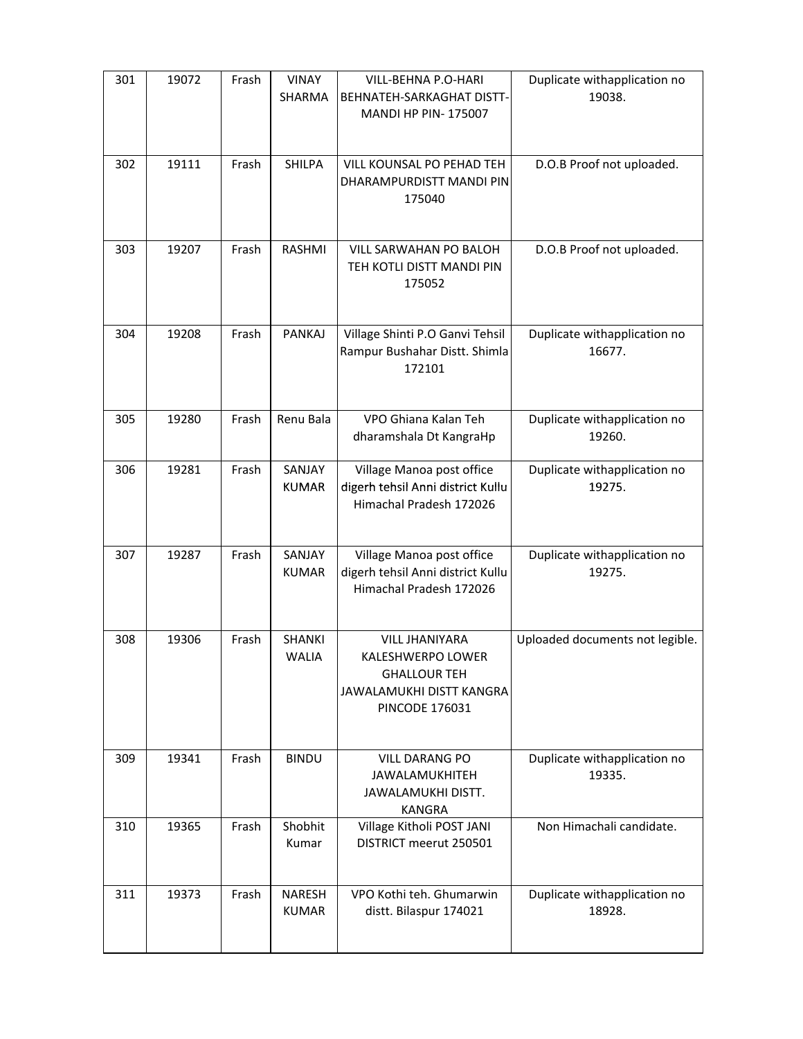| 301 | 19072 | Frash | <b>VINAY</b><br>SHARMA        | VILL-BEHNA P.O-HARI<br>BEHNATEH-SARKAGHAT DISTT-<br><b>MANDI HP PIN-175007</b>                                                | Duplicate withapplication no<br>19038. |
|-----|-------|-------|-------------------------------|-------------------------------------------------------------------------------------------------------------------------------|----------------------------------------|
| 302 | 19111 | Frash | <b>SHILPA</b>                 | VILL KOUNSAL PO PEHAD TEH<br>DHARAMPURDISTT MANDI PIN<br>175040                                                               | D.O.B Proof not uploaded.              |
| 303 | 19207 | Frash | RASHMI                        | VILL SARWAHAN PO BALOH<br>TEH KOTLI DISTT MANDI PIN<br>175052                                                                 | D.O.B Proof not uploaded.              |
| 304 | 19208 | Frash | <b>PANKAJ</b>                 | Village Shinti P.O Ganvi Tehsil<br>Rampur Bushahar Distt. Shimla<br>172101                                                    | Duplicate withapplication no<br>16677. |
| 305 | 19280 | Frash | Renu Bala                     | VPO Ghiana Kalan Teh<br>dharamshala Dt KangraHp                                                                               | Duplicate withapplication no<br>19260. |
| 306 | 19281 | Frash | SANJAY<br><b>KUMAR</b>        | Village Manoa post office<br>digerh tehsil Anni district Kullu<br>Himachal Pradesh 172026                                     | Duplicate withapplication no<br>19275. |
| 307 | 19287 | Frash | SANJAY<br><b>KUMAR</b>        | Village Manoa post office<br>digerh tehsil Anni district Kullu<br>Himachal Pradesh 172026                                     | Duplicate withapplication no<br>19275. |
| 308 | 19306 | Frash | <b>SHANKI</b><br>WALIA        | <b>VILL JHANIYARA</b><br><b>KALESHWERPO LOWER</b><br><b>GHALLOUR TEH</b><br>JAWALAMUKHI DISTT KANGRA<br><b>PINCODE 176031</b> | Uploaded documents not legible.        |
| 309 | 19341 | Frash | <b>BINDU</b>                  | <b>VILL DARANG PO</b><br><b>JAWALAMUKHITEH</b><br>JAWALAMUKHI DISTT.<br><b>KANGRA</b>                                         | Duplicate withapplication no<br>19335. |
| 310 | 19365 | Frash | Shobhit<br>Kumar              | Village Kitholi POST JANI<br>DISTRICT meerut 250501                                                                           | Non Himachali candidate.               |
| 311 | 19373 | Frash | <b>NARESH</b><br><b>KUMAR</b> | VPO Kothi teh. Ghumarwin<br>distt. Bilaspur 174021                                                                            | Duplicate withapplication no<br>18928. |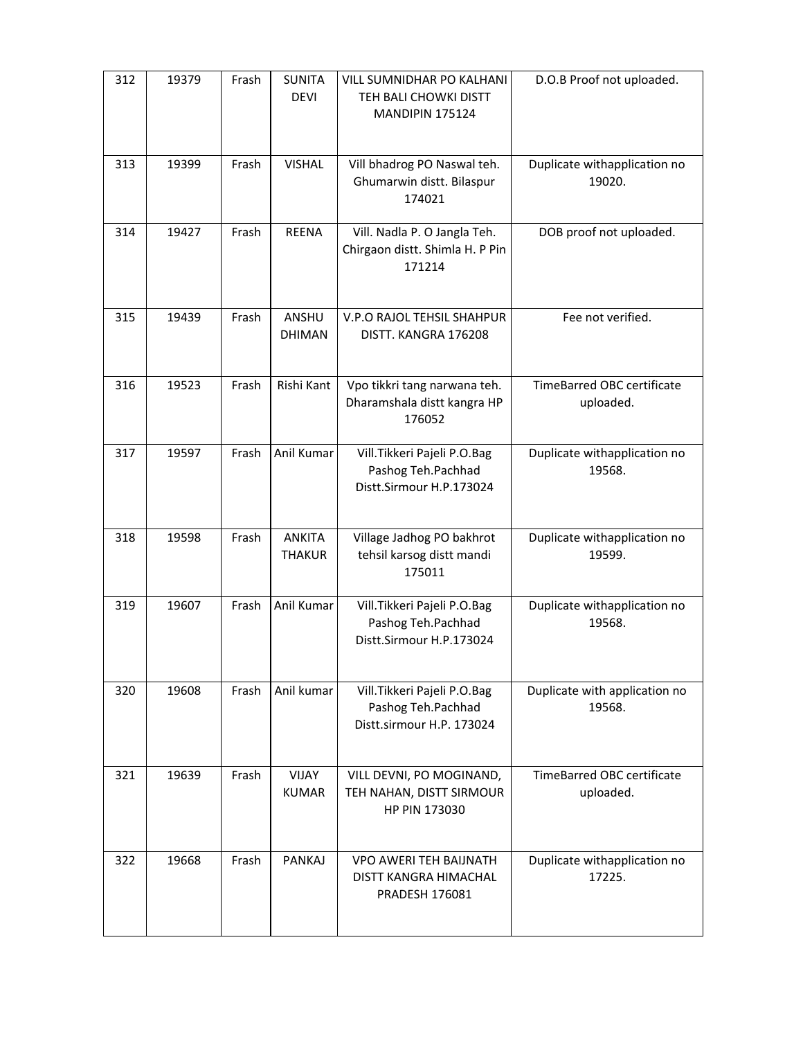| 312 | 19379 | Frash | <b>SUNITA</b><br><b>DEVI</b>   | <b>VILL SUMNIDHAR PO KALHANI</b><br>TEH BALI CHOWKI DISTT<br><b>MANDIPIN 175124</b> | D.O.B Proof not uploaded.               |
|-----|-------|-------|--------------------------------|-------------------------------------------------------------------------------------|-----------------------------------------|
| 313 | 19399 | Frash | <b>VISHAL</b>                  | Vill bhadrog PO Naswal teh.<br>Ghumarwin distt. Bilaspur<br>174021                  | Duplicate withapplication no<br>19020.  |
| 314 | 19427 | Frash | <b>REENA</b>                   | Vill. Nadla P. O Jangla Teh.<br>Chirgaon distt. Shimla H. P Pin<br>171214           | DOB proof not uploaded.                 |
| 315 | 19439 | Frash | ANSHU<br><b>DHIMAN</b>         | V.P.O RAJOL TEHSIL SHAHPUR<br>DISTT. KANGRA 176208                                  | Fee not verified.                       |
| 316 | 19523 | Frash | Rishi Kant                     | Vpo tikkri tang narwana teh.<br>Dharamshala distt kangra HP<br>176052               | TimeBarred OBC certificate<br>uploaded. |
| 317 | 19597 | Frash | Anil Kumar                     | Vill. Tikkeri Pajeli P.O. Bag<br>Pashog Teh.Pachhad<br>Distt.Sirmour H.P.173024     | Duplicate withapplication no<br>19568.  |
| 318 | 19598 | Frash | <b>ANKITA</b><br><b>THAKUR</b> | Village Jadhog PO bakhrot<br>tehsil karsog distt mandi<br>175011                    | Duplicate withapplication no<br>19599.  |
| 319 | 19607 | Frash | Anil Kumar                     | Vill. Tikkeri Pajeli P.O. Bag<br>Pashog Teh.Pachhad<br>Distt.Sirmour H.P.173024     | Duplicate withapplication no<br>19568.  |
| 320 | 19608 | Frash | Anil kumar                     | Vill. Tikkeri Pajeli P.O. Bag<br>Pashog Teh.Pachhad<br>Distt.sirmour H.P. 173024    | Duplicate with application no<br>19568. |
| 321 | 19639 | Frash | <b>VIJAY</b><br><b>KUMAR</b>   | VILL DEVNI, PO MOGINAND,<br>TEH NAHAN, DISTT SIRMOUR<br>HP PIN 173030               | TimeBarred OBC certificate<br>uploaded. |
| 322 | 19668 | Frash | PANKAJ                         | <b>VPO AWERI TEH BAIJNATH</b><br>DISTT KANGRA HIMACHAL<br><b>PRADESH 176081</b>     | Duplicate withapplication no<br>17225.  |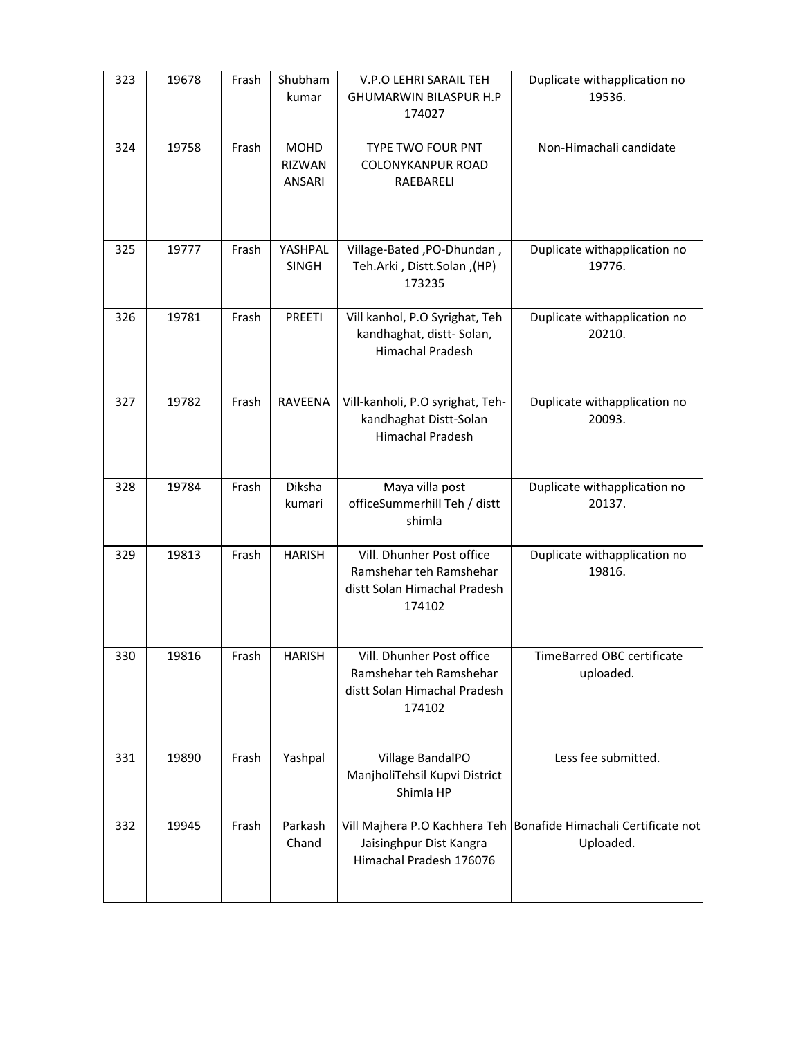| 323 | 19678 | Frash | Shubham<br>kumar                       | V.P.O LEHRI SARAIL TEH<br><b>GHUMARWIN BILASPUR H.P</b><br>174027                              | Duplicate withapplication no<br>19536.                                          |
|-----|-------|-------|----------------------------------------|------------------------------------------------------------------------------------------------|---------------------------------------------------------------------------------|
| 324 | 19758 | Frash | <b>MOHD</b><br><b>RIZWAN</b><br>ANSARI | TYPE TWO FOUR PNT<br>COLONYKANPUR ROAD<br>RAEBARELI                                            | Non-Himachali candidate                                                         |
| 325 | 19777 | Frash | YASHPAL<br>SINGH                       | Village-Bated, PO-Dhundan,<br>Teh.Arki, Distt.Solan, (HP)<br>173235                            | Duplicate withapplication no<br>19776.                                          |
| 326 | 19781 | Frash | <b>PREETI</b>                          | Vill kanhol, P.O Syrighat, Teh<br>kandhaghat, distt-Solan,<br>Himachal Pradesh                 | Duplicate withapplication no<br>20210.                                          |
| 327 | 19782 | Frash | RAVEENA                                | Vill-kanholi, P.O syrighat, Teh-<br>kandhaghat Distt-Solan<br><b>Himachal Pradesh</b>          | Duplicate withapplication no<br>20093.                                          |
| 328 | 19784 | Frash | Diksha<br>kumari                       | Maya villa post<br>officeSummerhill Teh / distt<br>shimla                                      | Duplicate withapplication no<br>20137.                                          |
| 329 | 19813 | Frash | <b>HARISH</b>                          | Vill. Dhunher Post office<br>Ramshehar teh Ramshehar<br>distt Solan Himachal Pradesh<br>174102 | Duplicate withapplication no<br>19816.                                          |
| 330 | 19816 | Frash | <b>HARISH</b>                          | Vill. Dhunher Post office<br>Ramshehar teh Ramshehar<br>distt Solan Himachal Pradesh<br>174102 | TimeBarred OBC certificate<br>uploaded.                                         |
| 331 | 19890 | Frash | Yashpal                                | Village BandalPO<br>ManjholiTehsil Kupvi District<br>Shimla HP                                 | Less fee submitted.                                                             |
| 332 | 19945 | Frash | Parkash<br>Chand                       | Jaisinghpur Dist Kangra<br>Himachal Pradesh 176076                                             | Vill Majhera P.O Kachhera Teh   Bonafide Himachali Certificate not<br>Uploaded. |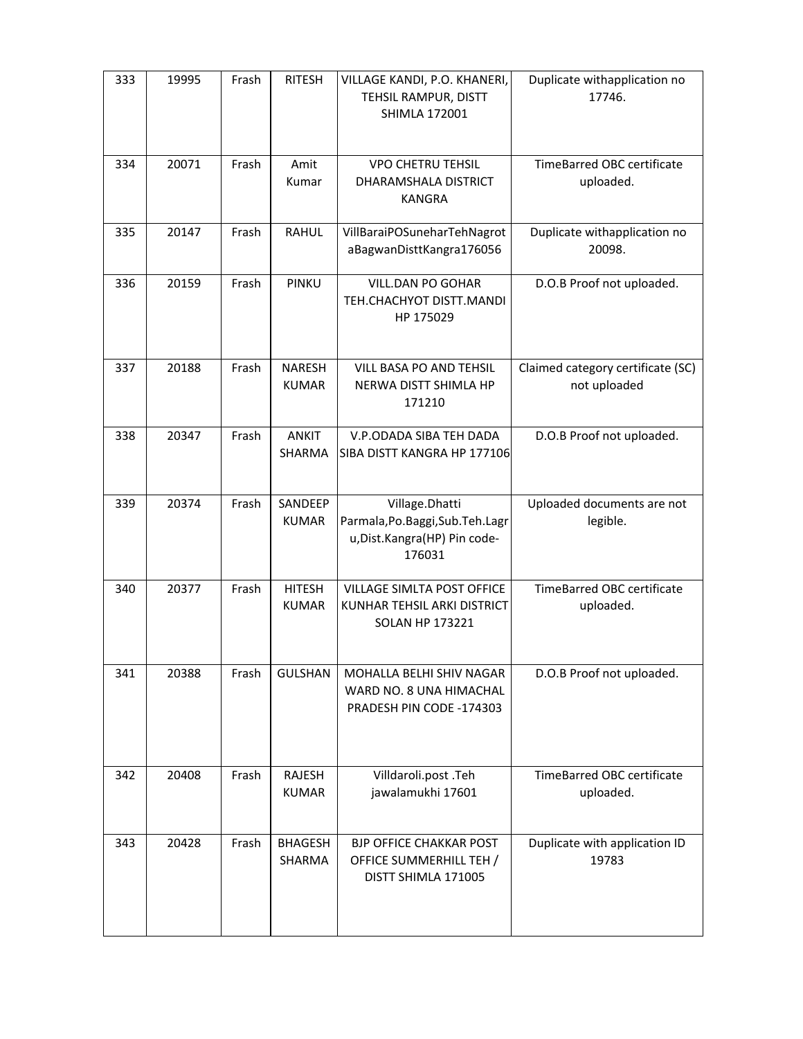| 333 | 19995 | Frash | <b>RITESH</b>                 | VILLAGE KANDI, P.O. KHANERI,<br>TEHSIL RAMPUR, DISTT<br><b>SHIMLA 172001</b>                     | Duplicate withapplication no<br>17746.            |
|-----|-------|-------|-------------------------------|--------------------------------------------------------------------------------------------------|---------------------------------------------------|
| 334 | 20071 | Frash | Amit<br>Kumar                 | <b>VPO CHETRU TEHSIL</b><br>DHARAMSHALA DISTRICT<br><b>KANGRA</b>                                | TimeBarred OBC certificate<br>uploaded.           |
| 335 | 20147 | Frash | <b>RAHUL</b>                  | VillBaraiPOSuneharTehNagrot<br>aBagwanDisttKangra176056                                          | Duplicate withapplication no<br>20098.            |
| 336 | 20159 | Frash | PINKU                         | VILL.DAN PO GOHAR<br>TEH.CHACHYOT DISTT.MANDI<br>HP 175029                                       | D.O.B Proof not uploaded.                         |
| 337 | 20188 | Frash | <b>NARESH</b><br><b>KUMAR</b> | VILL BASA PO AND TEHSIL<br>NERWA DISTT SHIMLA HP<br>171210                                       | Claimed category certificate (SC)<br>not uploaded |
| 338 | 20347 | Frash | <b>ANKIT</b><br>SHARMA        | V.P.ODADA SIBA TEH DADA<br>SIBA DISTT KANGRA HP 177106                                           | D.O.B Proof not uploaded.                         |
| 339 | 20374 | Frash | SANDEEP<br><b>KUMAR</b>       | Village.Dhatti<br>Parmala, Po. Baggi, Sub. Teh. Lagr<br>u, Dist. Kangra (HP) Pin code-<br>176031 | Uploaded documents are not<br>legible.            |
| 340 | 20377 | Frash | <b>HITESH</b><br><b>KUMAR</b> | VILLAGE SIMLTA POST OFFICE<br>KUNHAR TEHSIL ARKI DISTRICT<br><b>SOLAN HP 173221</b>              | TimeBarred OBC certificate<br>uploaded.           |
| 341 | 20388 | Frash | <b>GULSHAN</b>                | MOHALLA BELHI SHIV NAGAR<br>WARD NO. 8 UNA HIMACHAL<br>PRADESH PIN CODE -174303                  | D.O.B Proof not uploaded.                         |
| 342 | 20408 | Frash | <b>RAJESH</b><br><b>KUMAR</b> | Villdaroli.post .Teh<br>jawalamukhi 17601                                                        | TimeBarred OBC certificate<br>uploaded.           |
| 343 | 20428 | Frash | <b>BHAGESH</b><br>SHARMA      | <b>BJP OFFICE CHAKKAR POST</b><br>OFFICE SUMMERHILL TEH /<br>DISTT SHIMLA 171005                 | Duplicate with application ID<br>19783            |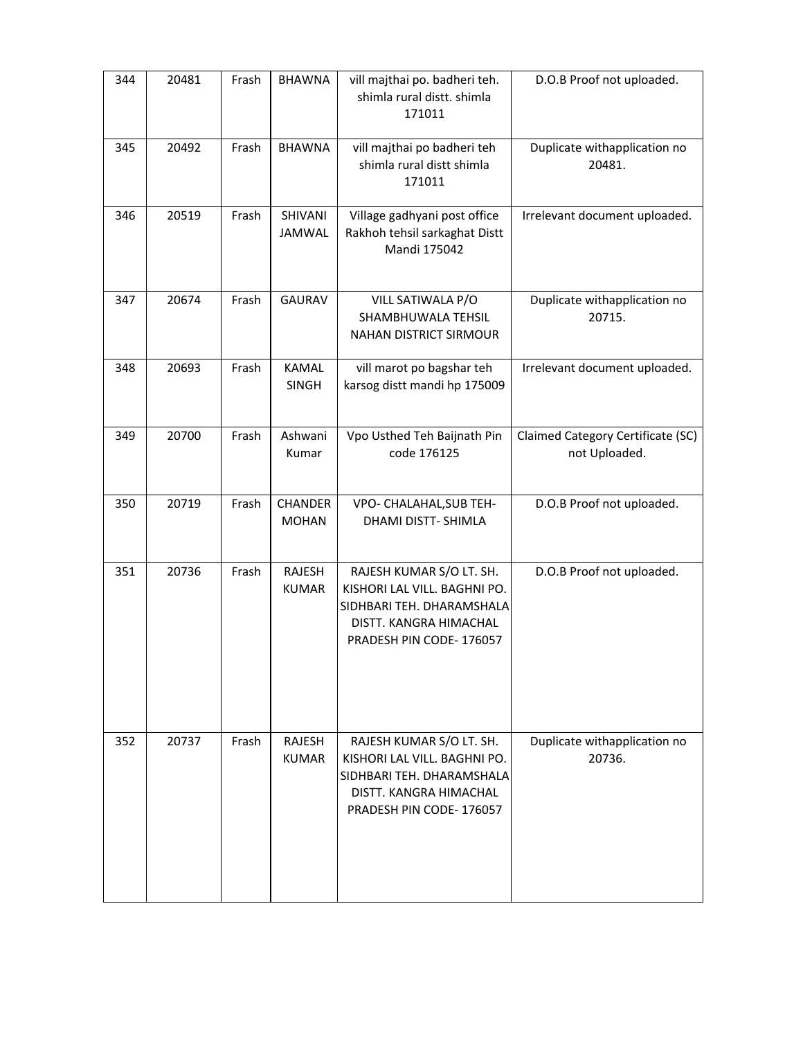| 344 | 20481 | Frash | <b>BHAWNA</b>                  | vill majthai po. badheri teh.<br>shimla rural distt. shimla<br>171011                                                                      | D.O.B Proof not uploaded.                          |
|-----|-------|-------|--------------------------------|--------------------------------------------------------------------------------------------------------------------------------------------|----------------------------------------------------|
| 345 | 20492 | Frash | <b>BHAWNA</b>                  | vill majthai po badheri teh<br>shimla rural distt shimla<br>171011                                                                         | Duplicate withapplication no<br>20481.             |
| 346 | 20519 | Frash | SHIVANI<br><b>JAMWAL</b>       | Village gadhyani post office<br>Rakhoh tehsil sarkaghat Distt<br>Mandi 175042                                                              | Irrelevant document uploaded.                      |
| 347 | 20674 | Frash | <b>GAURAV</b>                  | VILL SATIWALA P/O<br>SHAMBHUWALA TEHSIL<br><b>NAHAN DISTRICT SIRMOUR</b>                                                                   | Duplicate withapplication no<br>20715.             |
| 348 | 20693 | Frash | <b>KAMAL</b><br><b>SINGH</b>   | vill marot po bagshar teh<br>karsog distt mandi hp 175009                                                                                  | Irrelevant document uploaded.                      |
| 349 | 20700 | Frash | Ashwani<br>Kumar               | Vpo Usthed Teh Baijnath Pin<br>code 176125                                                                                                 | Claimed Category Certificate (SC)<br>not Uploaded. |
| 350 | 20719 | Frash | <b>CHANDER</b><br><b>MOHAN</b> | VPO- CHALAHAL, SUB TEH-<br>DHAMI DISTT- SHIMLA                                                                                             | D.O.B Proof not uploaded.                          |
| 351 | 20736 | Frash | RAJESH<br><b>KUMAR</b>         | RAJESH KUMAR S/O LT. SH.<br>KISHORI LAL VILL. BAGHNI PO.<br>SIDHBARI TEH. DHARAMSHALA<br>DISTT. KANGRA HIMACHAL<br>PRADESH PIN CODE-176057 | D.O.B Proof not uploaded.                          |
| 352 | 20737 | Frash | RAJESH<br><b>KUMAR</b>         | RAJESH KUMAR S/O LT. SH.<br>KISHORI LAL VILL. BAGHNI PO.<br>SIDHBARI TEH. DHARAMSHALA<br>DISTT. KANGRA HIMACHAL<br>PRADESH PIN CODE-176057 | Duplicate withapplication no<br>20736.             |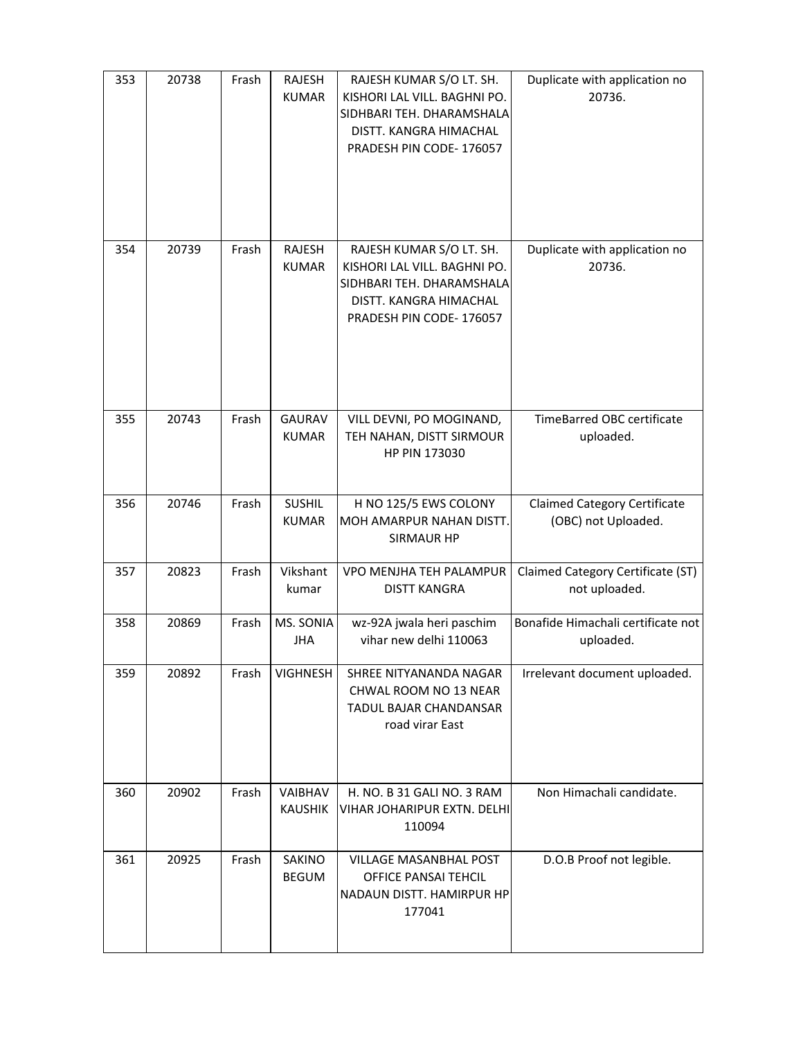| 353 | 20738 | Frash | RAJESH<br><b>KUMAR</b>        | RAJESH KUMAR S/O LT. SH.<br>KISHORI LAL VILL. BAGHNI PO.<br>SIDHBARI TEH. DHARAMSHALA<br>DISTT. KANGRA HIMACHAL<br>PRADESH PIN CODE-176057 | Duplicate with application no<br>20736.                    |
|-----|-------|-------|-------------------------------|--------------------------------------------------------------------------------------------------------------------------------------------|------------------------------------------------------------|
| 354 | 20739 | Frash | RAJESH<br><b>KUMAR</b>        | RAJESH KUMAR S/O LT. SH.<br>KISHORI LAL VILL. BAGHNI PO.<br>SIDHBARI TEH. DHARAMSHALA<br>DISTT. KANGRA HIMACHAL<br>PRADESH PIN CODE-176057 | Duplicate with application no<br>20736.                    |
| 355 | 20743 | Frash | <b>GAURAV</b><br><b>KUMAR</b> | VILL DEVNI, PO MOGINAND,<br>TEH NAHAN, DISTT SIRMOUR<br>HP PIN 173030                                                                      | TimeBarred OBC certificate<br>uploaded.                    |
| 356 | 20746 | Frash | <b>SUSHIL</b><br><b>KUMAR</b> | H NO 125/5 EWS COLONY<br>MOH AMARPUR NAHAN DISTT.<br><b>SIRMAUR HP</b>                                                                     | <b>Claimed Category Certificate</b><br>(OBC) not Uploaded. |
| 357 | 20823 | Frash | Vikshant<br>kumar             | VPO MENJHA TEH PALAMPUR<br><b>DISTT KANGRA</b>                                                                                             | Claimed Category Certificate (ST)<br>not uploaded.         |
| 358 | 20869 | Frash | MS. SONIA<br><b>JHA</b>       | wz-92A jwala heri paschim<br>vihar new delhi 110063                                                                                        | Bonafide Himachali certificate not<br>uploaded.            |
| 359 | 20892 | Frash | <b>VIGHNESH</b>               | SHREE NITYANANDA NAGAR<br>CHWAL ROOM NO 13 NEAR<br>TADUL BAJAR CHANDANSAR<br>road virar East                                               | Irrelevant document uploaded.                              |
| 360 | 20902 | Frash | VAIBHAV<br><b>KAUSHIK</b>     | H. NO. B 31 GALI NO. 3 RAM<br><b>VIHAR JOHARIPUR EXTN. DELHI</b><br>110094                                                                 | Non Himachali candidate.                                   |
| 361 | 20925 | Frash | SAKINO<br><b>BEGUM</b>        | VILLAGE MASANBHAL POST<br>OFFICE PANSAI TEHCIL<br>NADAUN DISTT. HAMIRPUR HP<br>177041                                                      | D.O.B Proof not legible.                                   |